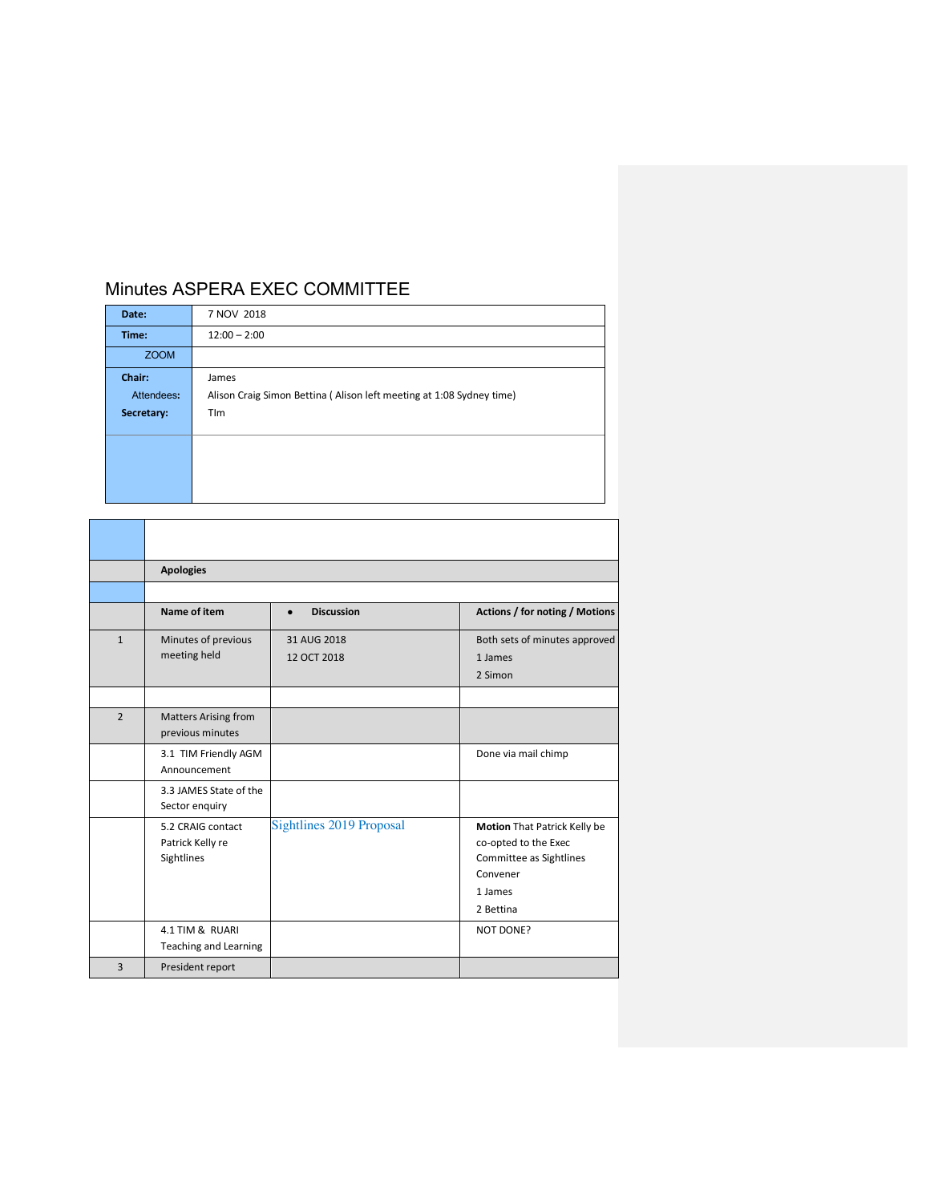# Minutes ASPERA EXEC COMMITTEE

| Date:                                                                              | 7 NOV 2018     |  |  |
|------------------------------------------------------------------------------------|----------------|--|--|
| Time:                                                                              | $12:00 - 2:00$ |  |  |
| <b>ZOOM</b>                                                                        |                |  |  |
| Chair:                                                                             | James          |  |  |
| Alison Craig Simon Bettina (Alison left meeting at 1:08 Sydney time)<br>Attendees: |                |  |  |
| Secretary:                                                                         | <b>T</b> Im    |  |  |
|                                                                                    |                |  |  |
|                                                                                    |                |  |  |
|                                                                                    |                |  |  |
|                                                                                    |                |  |  |
|                                                                                    |                |  |  |

|                | <b>Apologies</b>                                    |                                |                                                                                                                     |  |  |
|----------------|-----------------------------------------------------|--------------------------------|---------------------------------------------------------------------------------------------------------------------|--|--|
|                |                                                     |                                |                                                                                                                     |  |  |
|                | Name of item                                        | <b>Discussion</b><br>$\bullet$ | Actions / for noting / Motions                                                                                      |  |  |
| $\mathbf{1}$   | Minutes of previous<br>meeting held                 | 31 AUG 2018<br>12 OCT 2018     | Both sets of minutes approved<br>1 James<br>2 Simon                                                                 |  |  |
| $\overline{2}$ | <b>Matters Arising from</b><br>previous minutes     |                                |                                                                                                                     |  |  |
|                | 3.1 TIM Friendly AGM<br>Announcement                |                                | Done via mail chimp                                                                                                 |  |  |
|                | 3.3 JAMES State of the<br>Sector enquiry            |                                |                                                                                                                     |  |  |
|                | 5.2 CRAIG contact<br>Patrick Kelly re<br>Sightlines | Sightlines 2019 Proposal       | Motion That Patrick Kelly be<br>co-opted to the Exec<br>Committee as Sightlines<br>Convener<br>1 James<br>2 Bettina |  |  |
|                | 4.1 TIM & RUARI<br><b>Teaching and Learning</b>     |                                | NOT DONE?                                                                                                           |  |  |
| 3              | President report                                    |                                |                                                                                                                     |  |  |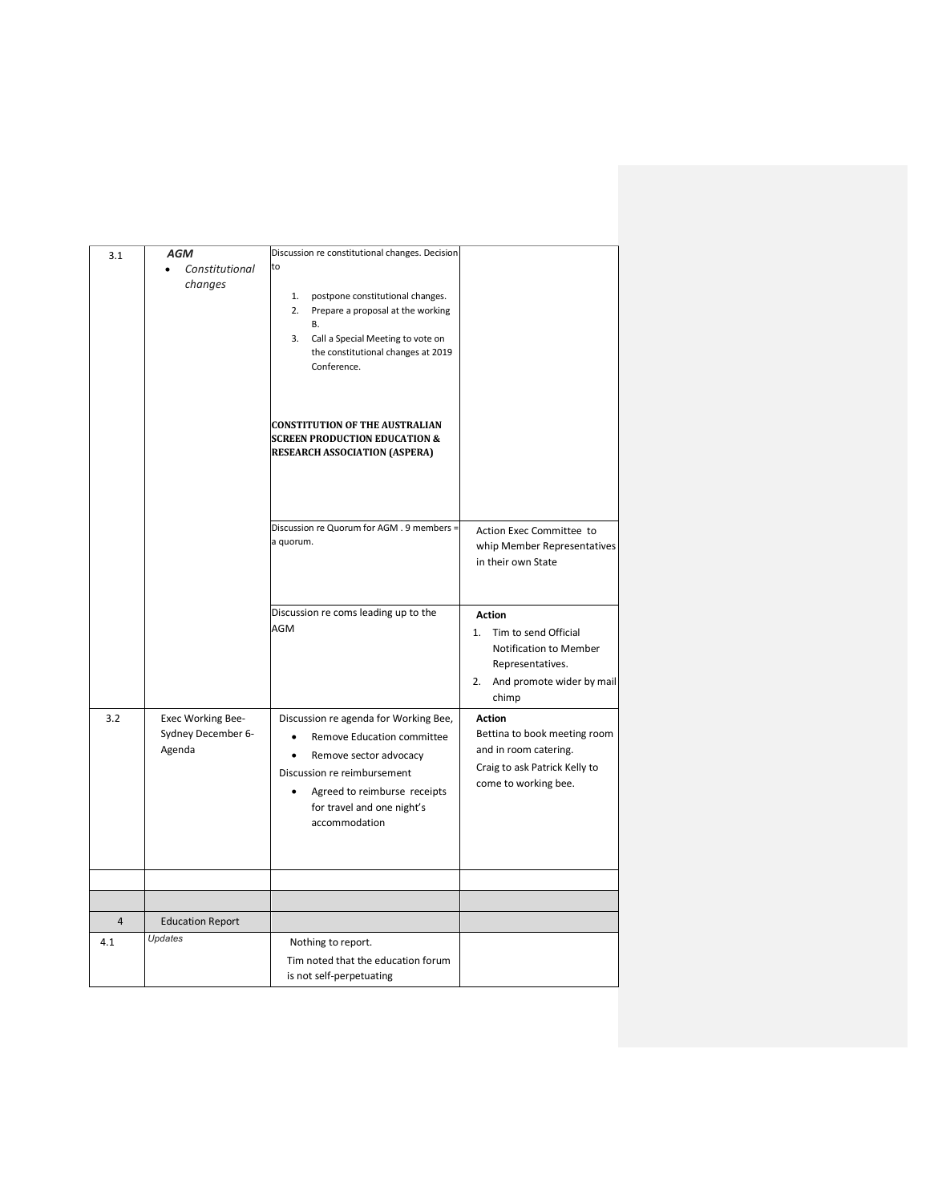| 3.1            | AGM<br>Constitutional<br>$\bullet$<br>changes     | Discussion re constitutional changes. Decision<br>to<br>postpone constitutional changes.<br>1.<br>2.<br>Prepare a proposal at the working<br>В.<br>3. Call a Special Meeting to vote on<br>the constitutional changes at 2019<br>Conference.<br><b>CONSTITUTION OF THE AUSTRALIAN</b><br><b>SCREEN PRODUCTION EDUCATION &amp;</b><br><b>RESEARCH ASSOCIATION (ASPERA)</b> |                                                                                                                                    |
|----------------|---------------------------------------------------|---------------------------------------------------------------------------------------------------------------------------------------------------------------------------------------------------------------------------------------------------------------------------------------------------------------------------------------------------------------------------|------------------------------------------------------------------------------------------------------------------------------------|
|                |                                                   | Discussion re Quorum for AGM . 9 members =<br>a quorum.                                                                                                                                                                                                                                                                                                                   | Action Exec Committee to<br>whip Member Representatives<br>in their own State                                                      |
|                |                                                   | Discussion re coms leading up to the<br>AGM                                                                                                                                                                                                                                                                                                                               | <b>Action</b><br>1.<br>Tim to send Official<br>Notification to Member<br>Representatives.<br>2. And promote wider by mail<br>chimp |
| 3.2            | Exec Working Bee-<br>Sydney December 6-<br>Agenda | Discussion re agenda for Working Bee,<br>Remove Education committee<br>Remove sector advocacy<br>$\bullet$<br>Discussion re reimbursement<br>Agreed to reimburse receipts<br>for travel and one night's<br>accommodation                                                                                                                                                  | Action<br>Bettina to book meeting room<br>and in room catering.<br>Craig to ask Patrick Kelly to<br>come to working bee.           |
|                |                                                   |                                                                                                                                                                                                                                                                                                                                                                           |                                                                                                                                    |
|                |                                                   |                                                                                                                                                                                                                                                                                                                                                                           |                                                                                                                                    |
| $\overline{4}$ | <b>Education Report</b>                           |                                                                                                                                                                                                                                                                                                                                                                           |                                                                                                                                    |
| 4.1            | Updates                                           | Nothing to report.<br>Tim noted that the education forum<br>is not self-perpetuating                                                                                                                                                                                                                                                                                      |                                                                                                                                    |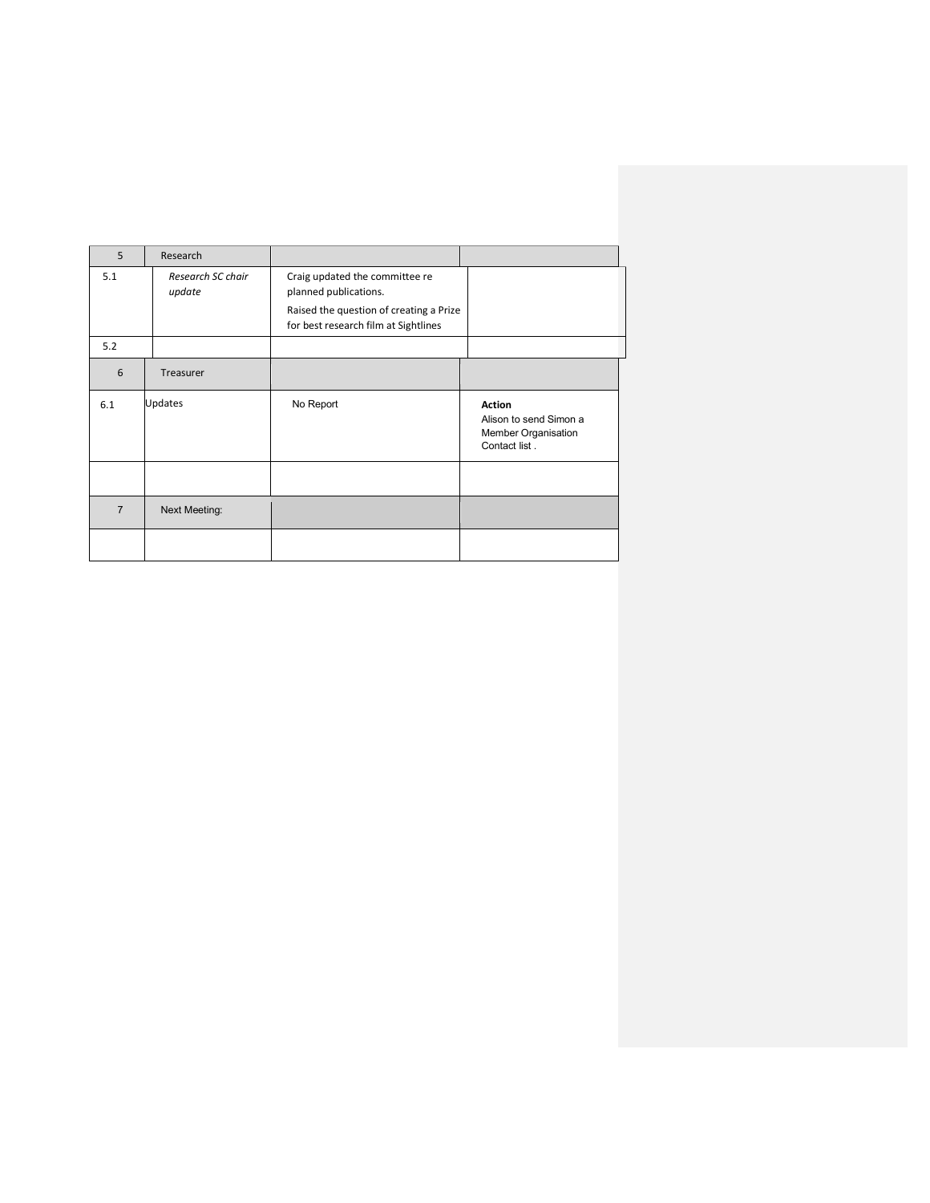| 5              | Research                    |                                                                                                                                            |                                                                                 |
|----------------|-----------------------------|--------------------------------------------------------------------------------------------------------------------------------------------|---------------------------------------------------------------------------------|
| 5.1            | Research SC chair<br>update | Craig updated the committee re<br>planned publications.<br>Raised the question of creating a Prize<br>for best research film at Sightlines |                                                                                 |
| 5.2            |                             |                                                                                                                                            |                                                                                 |
| 6              | Treasurer                   |                                                                                                                                            |                                                                                 |
| 6.1            | Updates                     | No Report                                                                                                                                  | <b>Action</b><br>Alison to send Simon a<br>Member Organisation<br>Contact list. |
|                |                             |                                                                                                                                            |                                                                                 |
| $\overline{7}$ | <b>Next Meeting:</b>        |                                                                                                                                            |                                                                                 |
|                |                             |                                                                                                                                            |                                                                                 |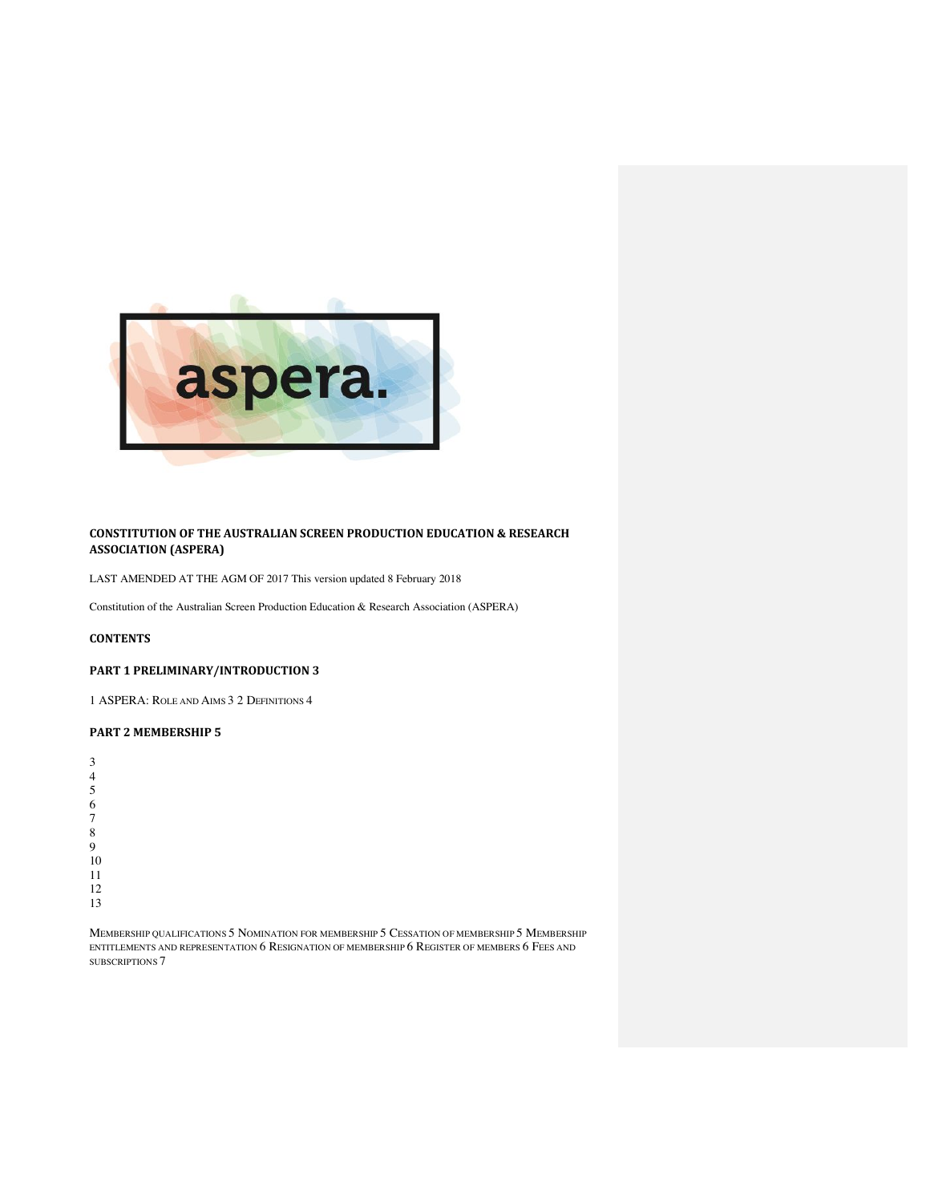

## **CONSTITUTION OF THE AUSTRALIAN SCREEN PRODUCTION EDUCATION & RESEARCH ASSOCIATION (ASPERA)**

LAST AMENDED AT THE AGM OF 2017 This version updated 8 February 2018

Constitution of the Australian Screen Production Education & Research Association (ASPERA)

## **CONTENTS**

## **PART 1 PRELIMINARY/INTRODUCTION 3**

1 ASPERA: ROLE AND AIMS 3 2 DEFINITIONS 4

### **PART 2 MEMBERSHIP 5**

3 4 5 6 7 8 9 10 11 12 13

MEMBERSHIP QUALIFICATIONS 5 NOMINATION FOR MEMBERSHIP 5 CESSATION OF MEMBERSHIP 5 MEMBERSHIP ENTITLEMENTS AND REPRESENTATION 6 RESIGNATION OF MEMBERSHIP 6 REGISTER OF MEMBERS 6 FEES AND SUBSCRIPTIONS 7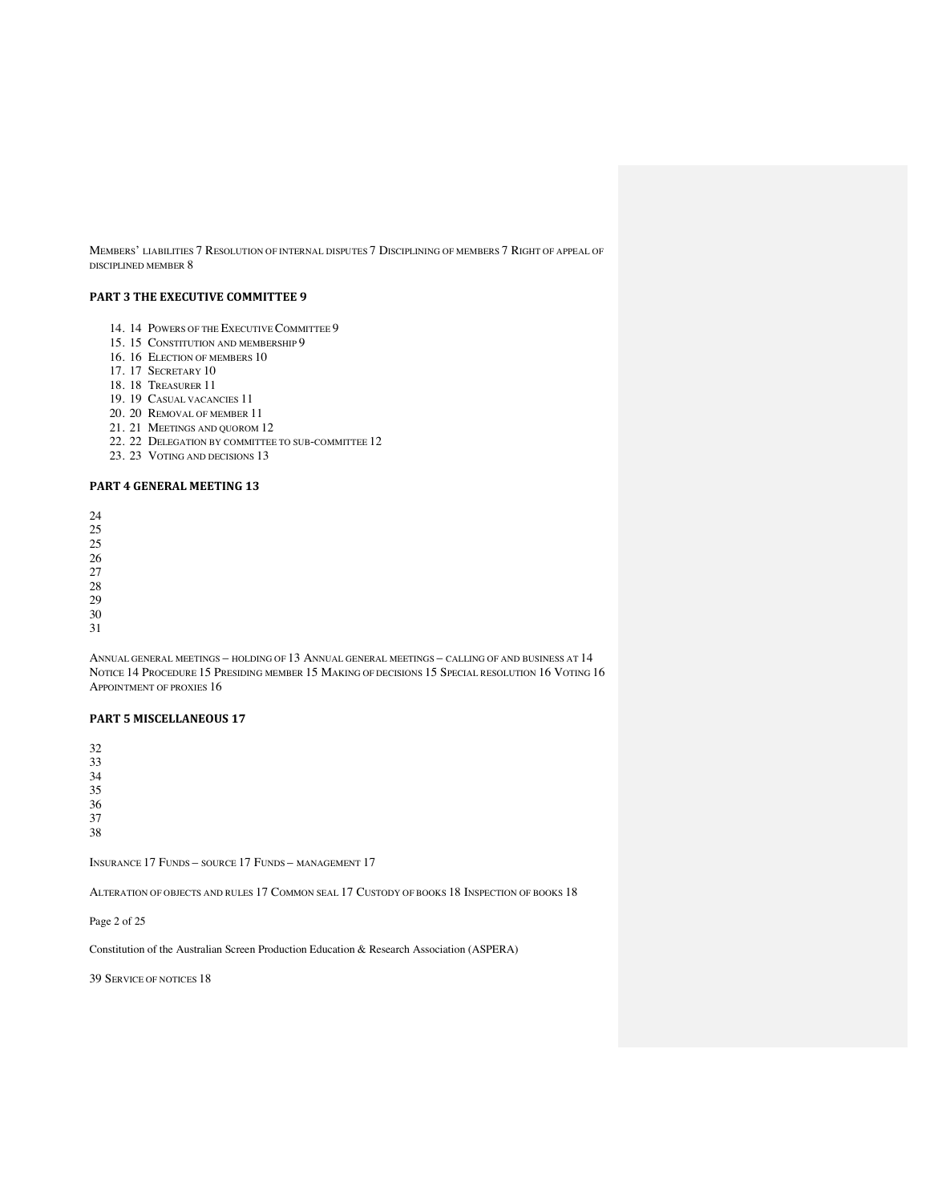MEMBERS' LIABILITIES 7 RESOLUTION OF INTERNAL DISPUTES 7 DISCIPLINING OF MEMBERS 7 RIGHT OF APPEAL OF DISCIPLINED MEMBER 8

## **PART 3 THE EXECUTIVE COMMITTEE 9**

- 14. 14 POWERS OF THE EXECUTIVE COMMITTEE 9
- 15. 15 CONSTITUTION AND MEMBERSHIP 9
- 16. 16 ELECTION OF MEMBERS 10
- 17. 17 SECRETARY 10
- 18. 18 TREASURER 11
- 19. 19 CASUAL VACANCIES 11
- 20. 20 REMOVAL OF MEMBER 11
- 21. 21 MEETINGS AND QUOROM 12
- 22. 22 DELEGATION BY COMMITTEE TO SUB-COMMITTEE 12
- 23. 23 VOTING AND DECISIONS 13

## **PART 4 GENERAL MEETING 13**

- 27
- 28

29

30 31

ANNUAL GENERAL MEETINGS – HOLDING OF 13 ANNUAL GENERAL MEETINGS – CALLING OF AND BUSINESS AT 14 NOTICE 14 PROCEDURE 15 PRESIDING MEMBER 15 MAKING OF DECISIONS 15 SPECIAL RESOLUTION 16 VOTING 16 APPOINTMENT OF PROXIES 16

## **PART 5 MISCELLANEOUS 17**

32 33

34 35

36

37

38

INSURANCE 17 FUNDS – SOURCE 17 FUNDS – MANAGEMENT 17

ALTERATION OF OBJECTS AND RULES 17 COMMON SEAL 17 CUSTODY OF BOOKS 18 INSPECTION OF BOOKS 18

Page 2 of 25

Constitution of the Australian Screen Production Education & Research Association (ASPERA)

39 SERVICE OF NOTICES 18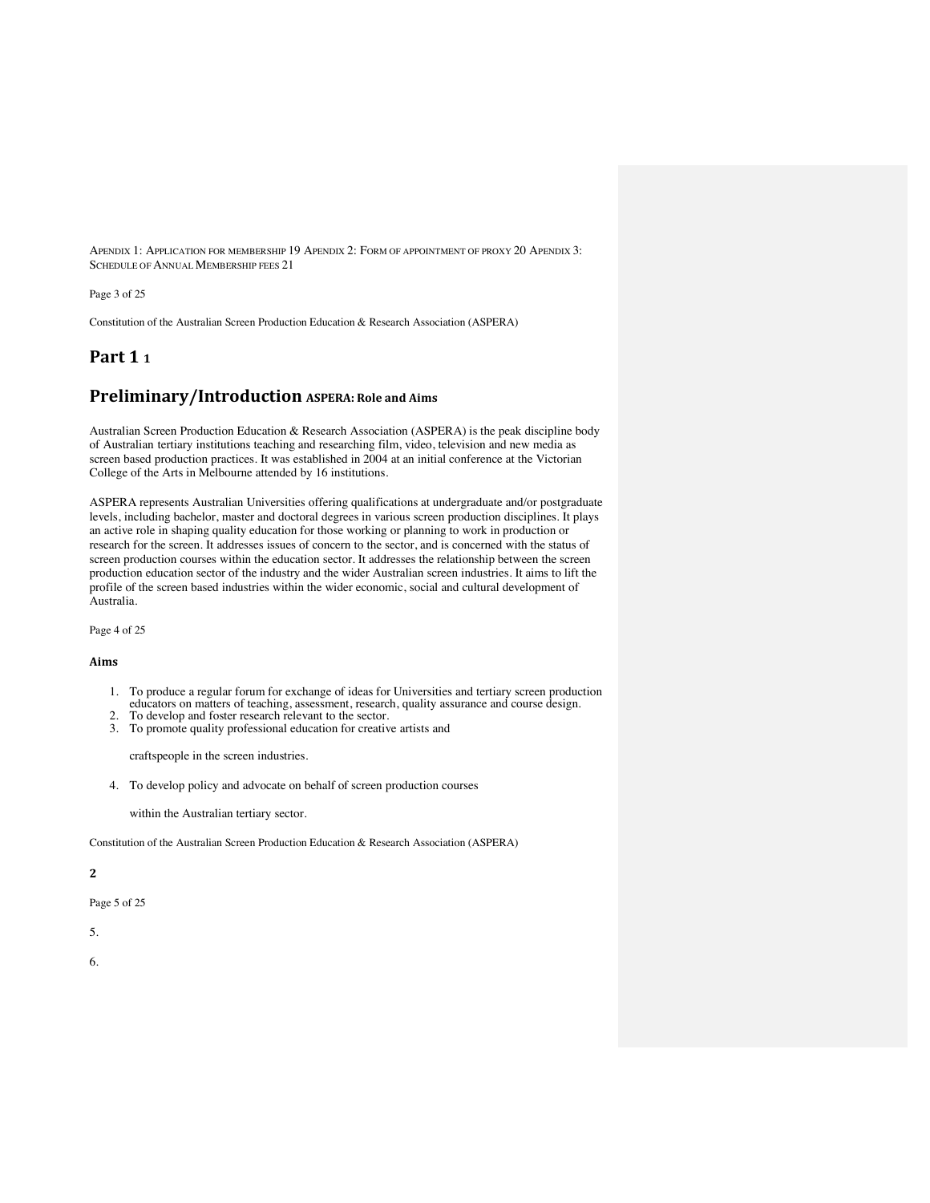APENDIX 1: APPLICATION FOR MEMBERSHIP 19 APENDIX 2: FORM OF APPOINTMENT OF PROXY 20 APENDIX 3: SCHEDULE OF ANNUAL MEMBERSHIP FEES 21

### Page 3 of 25

Constitution of the Australian Screen Production Education & Research Association (ASPERA)

## **Part 1** 1

## **Preliminary/Introduction ASPERA: Role and Aims**

Australian Screen Production Education & Research Association (ASPERA) is the peak discipline body of Australian tertiary institutions teaching and researching film, video, television and new media as screen based production practices. It was established in 2004 at an initial conference at the Victorian College of the Arts in Melbourne attended by 16 institutions.

ASPERA represents Australian Universities offering qualifications at undergraduate and/or postgraduate levels, including bachelor, master and doctoral degrees in various screen production disciplines. It plays an active role in shaping quality education for those working or planning to work in production or research for the screen. It addresses issues of concern to the sector, and is concerned with the status of screen production courses within the education sector. It addresses the relationship between the screen production education sector of the industry and the wider Australian screen industries. It aims to lift the profile of the screen based industries within the wider economic, social and cultural development of Australia.

Page 4 of 25

### **Aims**

- 1. To produce a regular forum for exchange of ideas for Universities and tertiary screen production educators on matters of teaching, assessment, research, quality assurance and course design.
- 2. To develop and foster research relevant to the sector.
- 3. To promote quality professional education for creative artists and

craftspeople in the screen industries.

4. To develop policy and advocate on behalf of screen production courses

within the Australian tertiary sector.

Constitution of the Australian Screen Production Education & Research Association (ASPERA)

### **2**

Page 5 of 25

5.

6.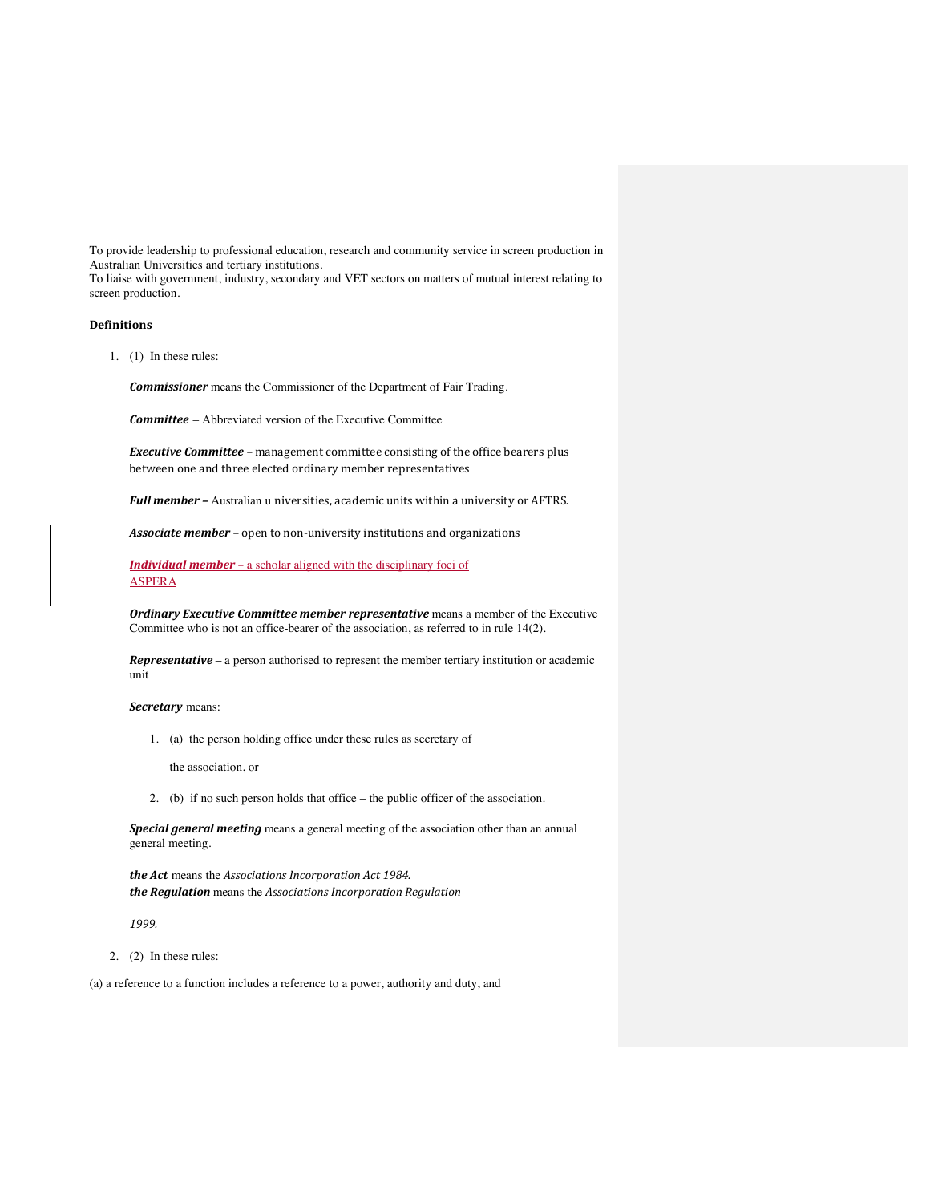To provide leadership to professional education, research and community service in screen production in Australian Universities and tertiary institutions.

To liaise with government, industry, secondary and VET sectors on matters of mutual interest relating to screen production.

### **Definitions**

1. (1) In these rules:

**Commissioner** means the Commissioner of the Department of Fair Trading.

*Committee* – Abbreviated version of the Executive Committee

**Executive Committee -** management committee consisting of the office bearers plus between one and three elected ordinary member representatives

*Full member* – Australian u niversities, academic units within a university or AFTRS.

Associate member - open to non-university institutions and organizations

**Individual member** – a scholar aligned with the disciplinary foci of ASPERA

*Ordinary Executive Committee member representative* means a member of the Executive Committee who is not an office-bearer of the association, as referred to in rule 14(2).

**Representative** – a person authorised to represent the member tertiary institution or academic unit

*Secretary* means:

1. (a) the person holding office under these rules as secretary of

the association, or

2. (b) if no such person holds that office – the public officer of the association.

**Special general meeting** means a general meeting of the association other than an annual general meeting.

*the Act* means the *Associations Incorporation Act* 1984. *the Regulation* means the *Associations Incorporation Regulation* 

*1999.* 

2. (2) In these rules:

(a) a reference to a function includes a reference to a power, authority and duty, and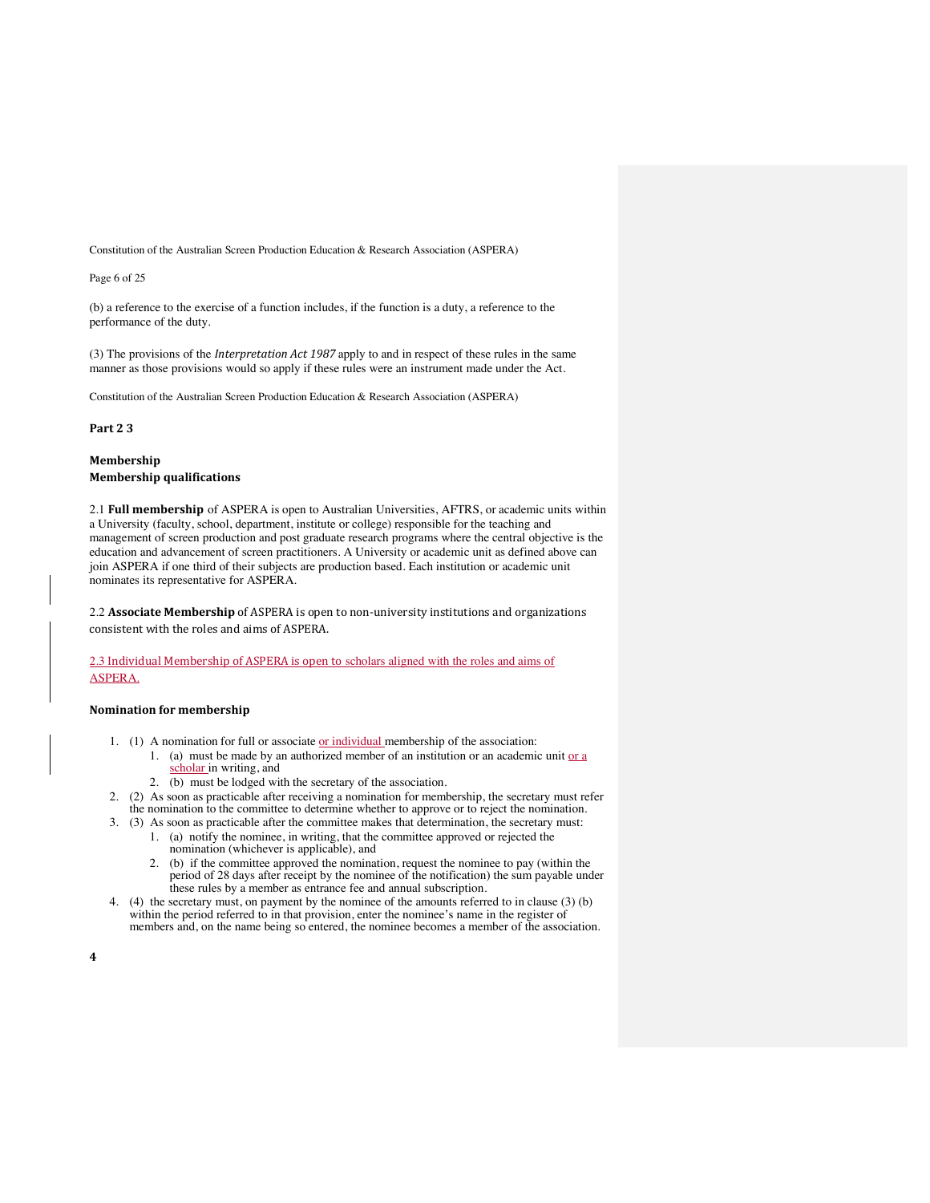Constitution of the Australian Screen Production Education & Research Association (ASPERA)

### Page 6 of 25

(b) a reference to the exercise of a function includes, if the function is a duty, a reference to the performance of the duty.

(3) The provisions of the *Interpretation Act 1987* apply to and in respect of these rules in the same manner as those provisions would so apply if these rules were an instrument made under the Act.

Constitution of the Australian Screen Production Education & Research Association (ASPERA)

### **Part 2 3**

## **Membership Membership qualifications**

2.1 **Full membership** of ASPERA is open to Australian Universities, AFTRS, or academic units within a University (faculty, school, department, institute or college) responsible for the teaching and management of screen production and post graduate research programs where the central objective is the education and advancement of screen practitioners. A University or academic unit as defined above can join ASPERA if one third of their subjects are production based. Each institution or academic unit nominates its representative for ASPERA.

2.2 Associate Membership of ASPERA is open to non-university institutions and organizations consistent with the roles and aims of ASPERA.

2.3 Individual Membership of ASPERA is open to scholars aligned with the roles and aims of ASPERA.

### **Nomination for membership**

- 1. (1) A nomination for full or associate or individual membership of the association:
	- 1. (a) must be made by an authorized member of an institution or an academic unit  $or a$ scholar in writing, and
	- 2. (b) must be lodged with the secretary of the association.
- 2. (2) As soon as practicable after receiving a nomination for membership, the secretary must refer the nomination to the committee to determine whether to approve or to reject the nomination.
- 3. (3) As soon as practicable after the committee makes that determination, the secretary must: 1. (a) notify the nominee, in writing, that the committee approved or rejected the nomination (whichever is applicable), and
	- 2. (b) if the committee approved the nomination, request the nominee to pay (within the period of 28 days after receipt by the nominee of the notification) the sum payable under these rules by a member as entrance fee and annual subscription.
- 4. (4) the secretary must, on payment by the nominee of the amounts referred to in clause (3) (b) within the period referred to in that provision, enter the nominee's name in the register of members and, on the name being so entered, the nominee becomes a member of the association.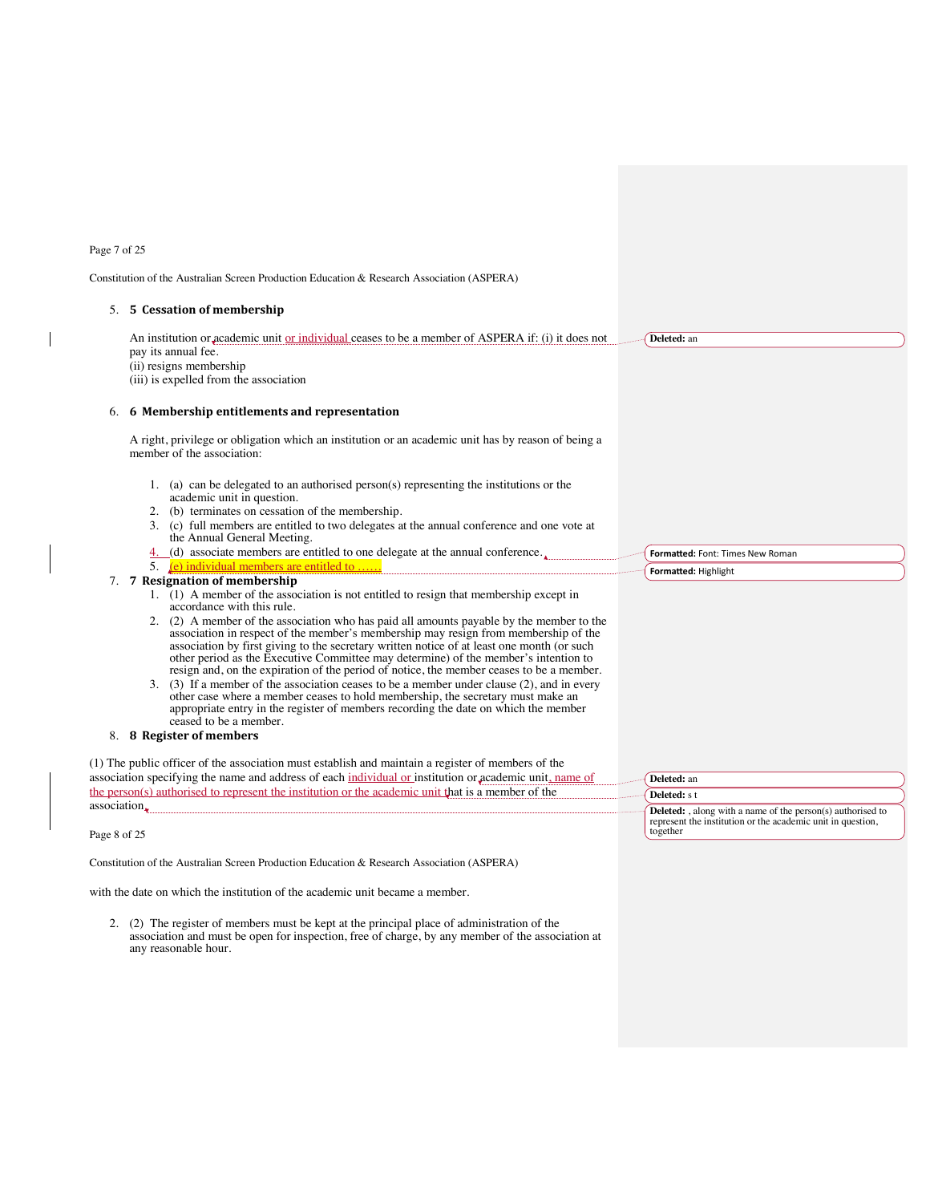Page 7 of 25

### Constitution of the Australian Screen Production Education & Research Association (ASPERA) 5. **5 Cessation of membership** An institution or academic unit or individual ceases to be a member of ASPERA if: (i) it does not pay its annual fee. (ii) resigns membership (iii) is expelled from the association 6. **6 Membership entitlements and representation**  A right, privilege or obligation which an institution or an academic unit has by reason of being a member of the association: 1. (a) can be delegated to an authorised person(s) representing the institutions or the academic unit in question. 2. (b) terminates on cessation of the membership. 3. (c) full members are entitled to two delegates at the annual conference and one vote at the Annual General Meeting. 4. (d) associate members are entitled to one delegate at the annual conference. 5.  $(e)$  individual members are entitled to 7. **7 Resignation of membership**  1. (1) A member of the association is not entitled to resign that membership except in accordance with this rule. 2. (2) A member of the association who has paid all amounts payable by the member to the association in respect of the member's membership may resign from membership of the association by first giving to the secretary written notice of at least one month (or such other period as the Executive Committee may determine) of the member's intention to resign and, on the expiration of the period of notice, the member ceases to be a member. 3. (3) If a member of the association ceases to be a member under clause (2), and in every other case where a member ceases to hold membership, the secretary must make an appropriate entry in the register of members recording the date on which the member ceased to be a member. 8. **8 Register of members** (1) The public officer of the association must establish and maintain a register of members of the association specifying the name and address of each individual or institution or academic unit, name the person(s) authorised to represent the institution or the academic unit that is a member of the association. Page 8 of 25 Constitution of the Australian Screen Production Education & Research Association (ASPERA) **Deleted:** an **Formatted:** Font: Times New Roman Formatted: Highlight **Deleted:** an **Deleted:** s t **Deleted:** , along with a name of the person(s) authorised to represent the institution or the academic unit in question, together

with the date on which the institution of the academic unit became a member.

2. (2) The register of members must be kept at the principal place of administration of the association and must be open for inspection, free of charge, by any member of the association at any reasonable hour.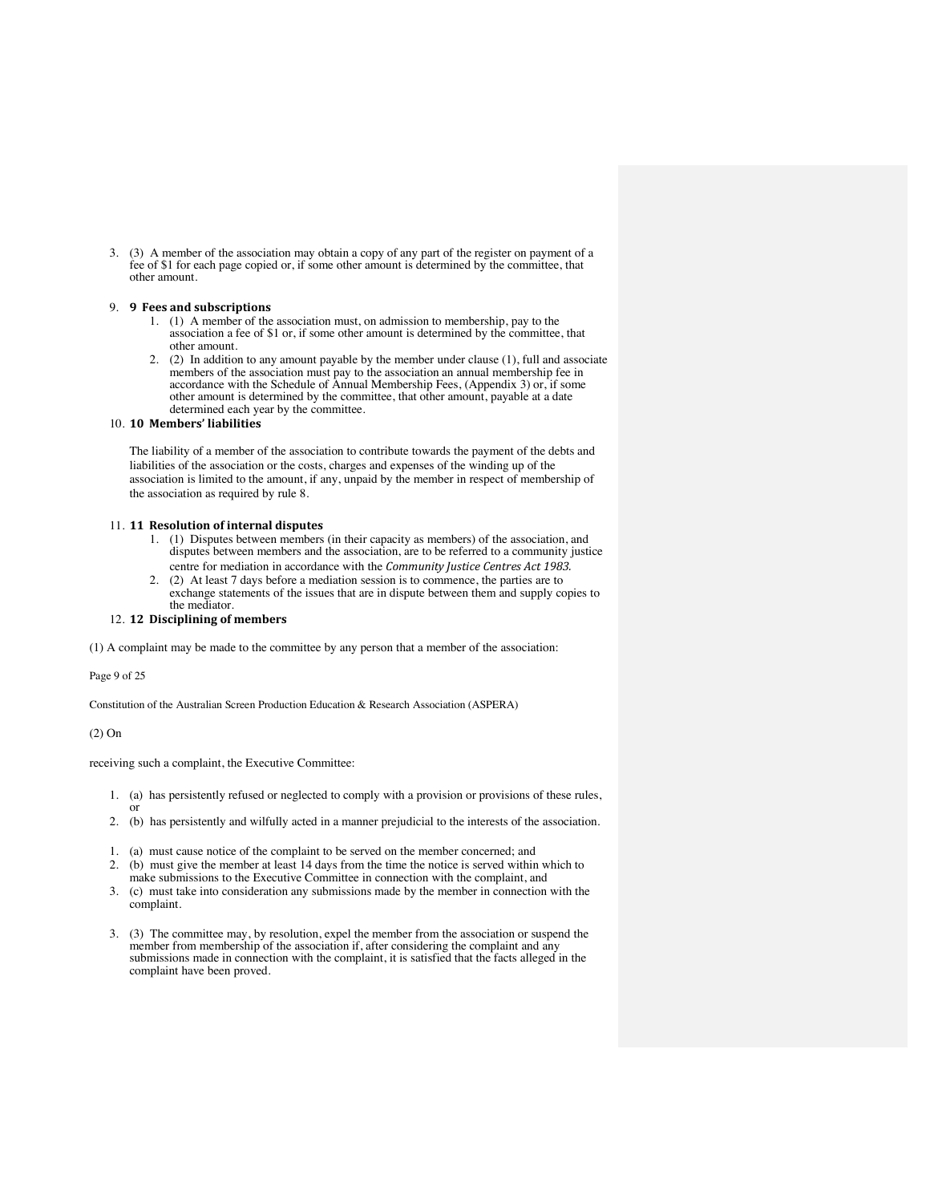3. (3) A member of the association may obtain a copy of any part of the register on payment of a fee of \$1 for each page copied or, if some other amount is determined by the committee, that other amount.

### 9. **9 Fees and subscriptions**

- 1. (1) A member of the association must, on admission to membership, pay to the association a fee of \$1 or, if some other amount is determined by the committee, that other amount.
- 2. (2) In addition to any amount payable by the member under clause (1), full and associate members of the association must pay to the association an annual membership fee in accordance with the Schedule of Annual Membership Fees, (Appendix 3) or, if some other amount is determined by the committee, that other amount, payable at a date determined each year by the committee.

### 10. **10 Members' liabilities**

The liability of a member of the association to contribute towards the payment of the debts and liabilities of the association or the costs, charges and expenses of the winding up of the association is limited to the amount, if any, unpaid by the member in respect of membership of the association as required by rule 8.

### 11. **11 Resolution of internal disputes**

- 1. (1) Disputes between members (in their capacity as members) of the association, and disputes between members and the association, are to be referred to a community justice centre for mediation in accordance with the *Community Justice Centres Act 1983*.
- 2. (2) At least 7 days before a mediation session is to commence, the parties are to exchange statements of the issues that are in dispute between them and supply copies to the mediator.

### 12. 12 Disciplining of members

(1) A complaint may be made to the committee by any person that a member of the association:

### Page 9 of 25

Constitution of the Australian Screen Production Education & Research Association (ASPERA)

### (2) On

receiving such a complaint, the Executive Committee:

- 1. (a) has persistently refused or neglected to comply with a provision or provisions of these rules, or
- 2. (b) has persistently and wilfully acted in a manner prejudicial to the interests of the association.
- 1. (a) must cause notice of the complaint to be served on the member concerned; and
- 2. (b) must give the member at least 14 days from the time the notice is served within which to
- make submissions to the Executive Committee in connection with the complaint, and
- 3. (c) must take into consideration any submissions made by the member in connection with the complaint.
- 3. (3) The committee may, by resolution, expel the member from the association or suspend the member from membership of the association if, after considering the complaint and any submissions made in connection with the complaint, it is satisfied that the facts alleged in the complaint have been proved.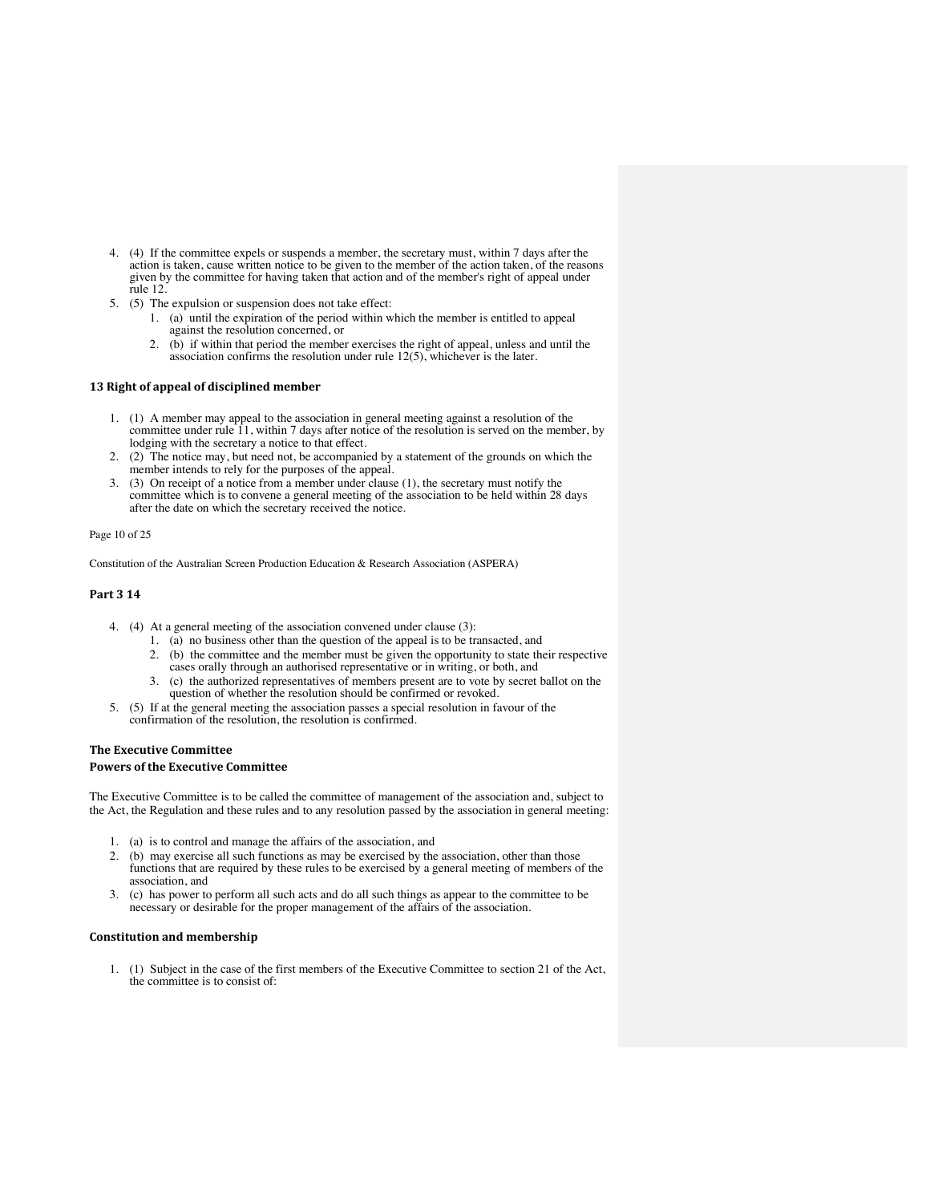- 4. (4) If the committee expels or suspends a member, the secretary must, within 7 days after the action is taken, cause written notice to be given to the member of the action taken, of the reasons given by the committee for having taken that action and of the member's right of appeal under rule 12.
- 5. (5) The expulsion or suspension does not take effect:
	- 1. (a) until the expiration of the period within which the member is entitled to appeal against the resolution concerned, or
	- 2. (b) if within that period the member exercises the right of appeal, unless and until the association confirms the resolution under rule 12(5), whichever is the later.

### 13 Right of appeal of disciplined member

- 1. (1) A member may appeal to the association in general meeting against a resolution of the committee under rule 11, within 7 days after notice of the resolution is served on the member, by lodging with the secretary a notice to that effect.
- 2. (2) The notice may, but need not, be accompanied by a statement of the grounds on which the member intends to rely for the purposes of the appeal.
- 3. (3) On receipt of a notice from a member under clause (1), the secretary must notify the committee which is to convene a general meeting of the association to be held within 28 days after the date on which the secretary received the notice.

### Page 10 of 25

Constitution of the Australian Screen Production Education & Research Association (ASPERA)

### **Part 3 14**

- 4. (4) At a general meeting of the association convened under clause (3):
	- 1. (a) no business other than the question of the appeal is to be transacted, and
	- 2. (b) the committee and the member must be given the opportunity to state their respective cases orally through an authorised representative or in writing, or both, and
	- 3. (c) the authorized representatives of members present are to vote by secret ballot on the question of whether the resolution should be confirmed or revoked.
- 5. (5) If at the general meeting the association passes a special resolution in favour of the confirmation of the resolution, the resolution is confirmed.

## **The Executive Committee**

## **Powers of the Executive Committee**

The Executive Committee is to be called the committee of management of the association and, subject to the Act, the Regulation and these rules and to any resolution passed by the association in general meeting:

- 1. (a) is to control and manage the affairs of the association, and
- 2. (b) may exercise all such functions as may be exercised by the association, other than those functions that are required by these rules to be exercised by a general meeting of members of the association, and
- 3. (c) has power to perform all such acts and do all such things as appear to the committee to be necessary or desirable for the proper management of the affairs of the association.

### **Constitution and membership**

1. (1) Subject in the case of the first members of the Executive Committee to section 21 of the Act, the committee is to consist of: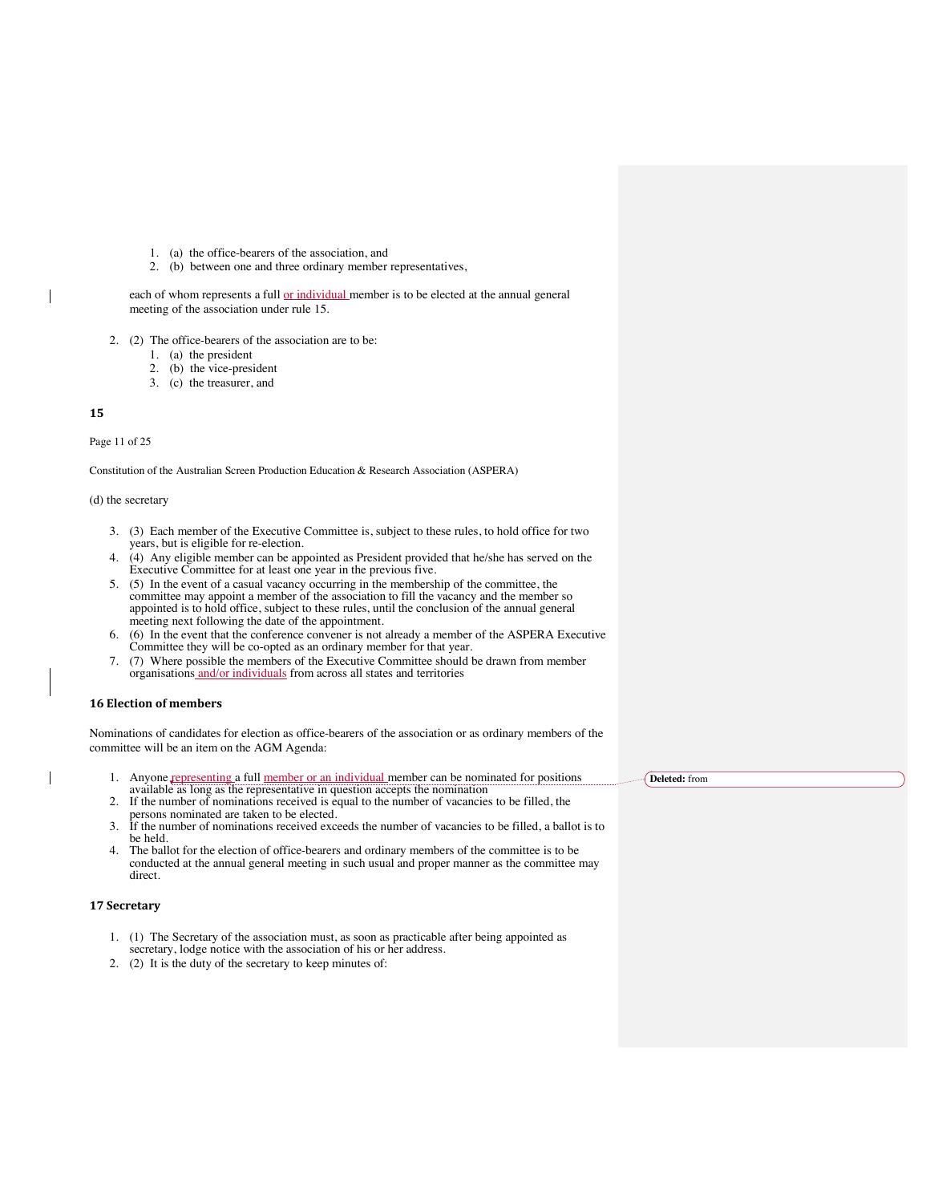- 1. (a) the office-bearers of the association, and
- 2. (b) between one and three ordinary member representatives,

each of whom represents a full or individual member is to be elected at the annual general meeting of the association under rule 15.

- 2. (2) The office-bearers of the association are to be:
	- 1. (a) the president
	- 2. (b) the vice-president
	- 3. (c) the treasurer, and

### **15**

 $\overline{1}$ 

Page 11 of 25

Constitution of the Australian Screen Production Education & Research Association (ASPERA)

### (d) the secretary

- 3. (3) Each member of the Executive Committee is, subject to these rules, to hold office for two years, but is eligible for re-election.
- 4. (4) Any eligible member can be appointed as President provided that he/she has served on the Executive Committee for at least one year in the previous five.
- 5. (5) In the event of a casual vacancy occurring in the membership of the committee, the committee may appoint a member of the association to fill the vacancy and the member so appointed is to hold office, subject to these rules, until the conclusion of the annual general meeting next following the date of the appointment.
- 6. (6) In the event that the conference convener is not already a member of the ASPERA Executive Committee they will be co-opted as an ordinary member for that year.
- 7. (7) Where possible the members of the Executive Committee should be drawn from member organisations and/or individuals from across all states and territories

### **16 Election of members**

Nominations of candidates for election as office-bearers of the association or as ordinary members of the committee will be an item on the AGM Agenda:

| 1. Anyone representing a full member or an individual member can be nominated for positions        | Deleted: from |
|----------------------------------------------------------------------------------------------------|---------------|
| available as long as the representative in question accepts the nomination                         |               |
| If the number of nominations received is equal to the number of vacancies to be filled, the        |               |
| persons nominated are taken to be elected.                                                         |               |
| If the number of nominations received exceeds the number of vacancies to be filled, a ballot is to |               |
| be held.                                                                                           |               |
| 4. The ballot for the election of office-bearers and ordinary members of the committee is to be    |               |
| conducted at the annual general meeting in such usual and proper manner as the committee may       |               |
| direct.                                                                                            |               |
|                                                                                                    |               |
| <b>17 Secretary</b>                                                                                |               |
|                                                                                                    |               |
|                                                                                                    |               |
| 1. (1) The Secretary of the association must, as soon as practicable after being appointed as      |               |
| secretary, lodge notice with the association of his or her address.                                |               |
| (2) It is the duty of the secretary to keep minutes of:                                            |               |
|                                                                                                    |               |
|                                                                                                    |               |
|                                                                                                    |               |
|                                                                                                    |               |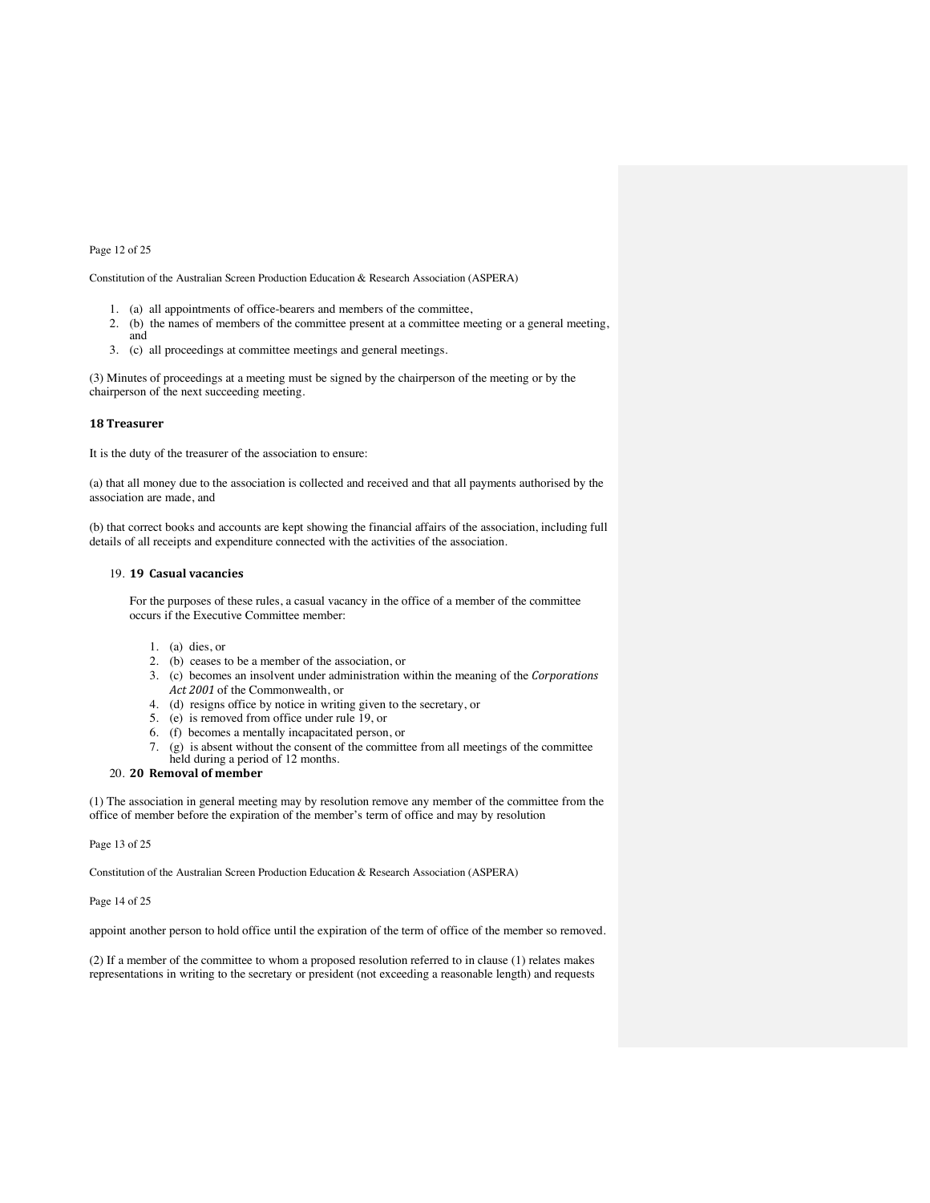### Page 12 of 25

Constitution of the Australian Screen Production Education & Research Association (ASPERA)

- 1. (a) all appointments of office-bearers and members of the committee,
- 2. (b) the names of members of the committee present at a committee meeting or a general meeting, and
- 3. (c) all proceedings at committee meetings and general meetings.

(3) Minutes of proceedings at a meeting must be signed by the chairperson of the meeting or by the chairperson of the next succeeding meeting.

### **18 Treasurer**

It is the duty of the treasurer of the association to ensure:

(a) that all money due to the association is collected and received and that all payments authorised by the association are made, and

(b) that correct books and accounts are kept showing the financial affairs of the association, including full details of all receipts and expenditure connected with the activities of the association.

### 19. **19 Casual vacancies**

For the purposes of these rules, a casual vacancy in the office of a member of the committee occurs if the Executive Committee member:

- 1. (a) dies, or
- 2. (b) ceases to be a member of the association, or
- 3. (c) becomes an insolvent under administration within the meaning of the *Corporations Act 2001* of the Commonwealth, or
- 4. (d) resigns office by notice in writing given to the secretary, or
- 5. (e) is removed from office under rule 19, or
- 6. (f) becomes a mentally incapacitated person, or
- 7. (g) is absent without the consent of the committee from all meetings of the committee held during a period of 12 months.

### 20. 20 Removal of member

(1) The association in general meeting may by resolution remove any member of the committee from the office of member before the expiration of the member's term of office and may by resolution

Page 13 of 25

Constitution of the Australian Screen Production Education & Research Association (ASPERA)

Page 14 of 25

appoint another person to hold office until the expiration of the term of office of the member so removed.

(2) If a member of the committee to whom a proposed resolution referred to in clause (1) relates makes representations in writing to the secretary or president (not exceeding a reasonable length) and requests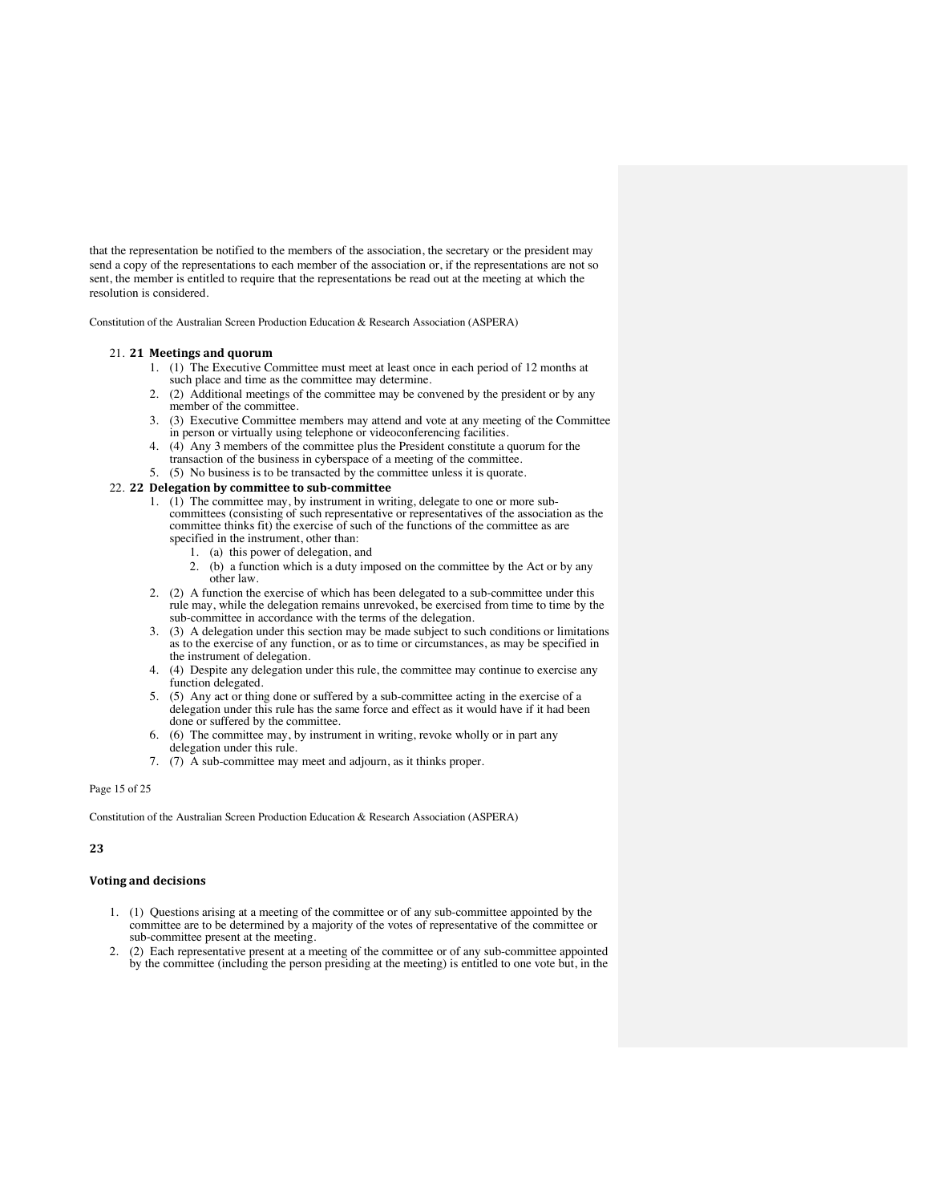that the representation be notified to the members of the association, the secretary or the president may send a copy of the representations to each member of the association or, if the representations are not so sent, the member is entitled to require that the representations be read out at the meeting at which the resolution is considered.

Constitution of the Australian Screen Production Education & Research Association (ASPERA)

### 21. 21 Meetings and quorum

- 1. (1) The Executive Committee must meet at least once in each period of 12 months at such place and time as the committee may determine.
- 2. (2) Additional meetings of the committee may be convened by the president or by any member of the committee.
- 3. (3) Executive Committee members may attend and vote at any meeting of the Committee in person or virtually using telephone or videoconferencing facilities.
- 4. (4) Any 3 members of the committee plus the President constitute a quorum for the
- transaction of the business in cyberspace of a meeting of the committee.
- 5. (5) No business is to be transacted by the committee unless it is quorate.

- 22. **22 Delegation by committee to sub-committee**<br>1. (1) The committee may, by instrument in writing, delegate to one or more subcommittees (consisting of such representative or representatives of the association as the committee thinks fit) the exercise of such of the functions of the committee as are specified in the instrument, other than:
	- 1. (a) this power of delegation, and
	- 2. (b) a function which is a duty imposed on the committee by the Act or by any other law.
	- 2. (2) A function the exercise of which has been delegated to a sub-committee under this rule may, while the delegation remains unrevoked, be exercised from time to time by the sub-committee in accordance with the terms of the delegation.
	- 3. (3) A delegation under this section may be made subject to such conditions or limitations as to the exercise of any function, or as to time or circumstances, as may be specified in the instrument of delegation.
	- 4. (4) Despite any delegation under this rule, the committee may continue to exercise any function delegated.
	- 5. (5) Any act or thing done or suffered by a sub-committee acting in the exercise of a delegation under this rule has the same force and effect as it would have if it had been done or suffered by the committee.
	- 6. (6) The committee may, by instrument in writing, revoke wholly or in part any delegation under this rule.
	- 7. (7) A sub-committee may meet and adjourn, as it thinks proper.

### Page 15 of 25

Constitution of the Australian Screen Production Education & Research Association (ASPERA)

### **23**

### **Voting and decisions**

- 1. (1) Questions arising at a meeting of the committee or of any sub-committee appointed by the committee are to be determined by a majority of the votes of representative of the committee or sub-committee present at the meeting.
- 2. (2) Each representative present at a meeting of the committee or of any sub-committee appointed by the committee (including the person presiding at the meeting) is entitled to one vote but, in the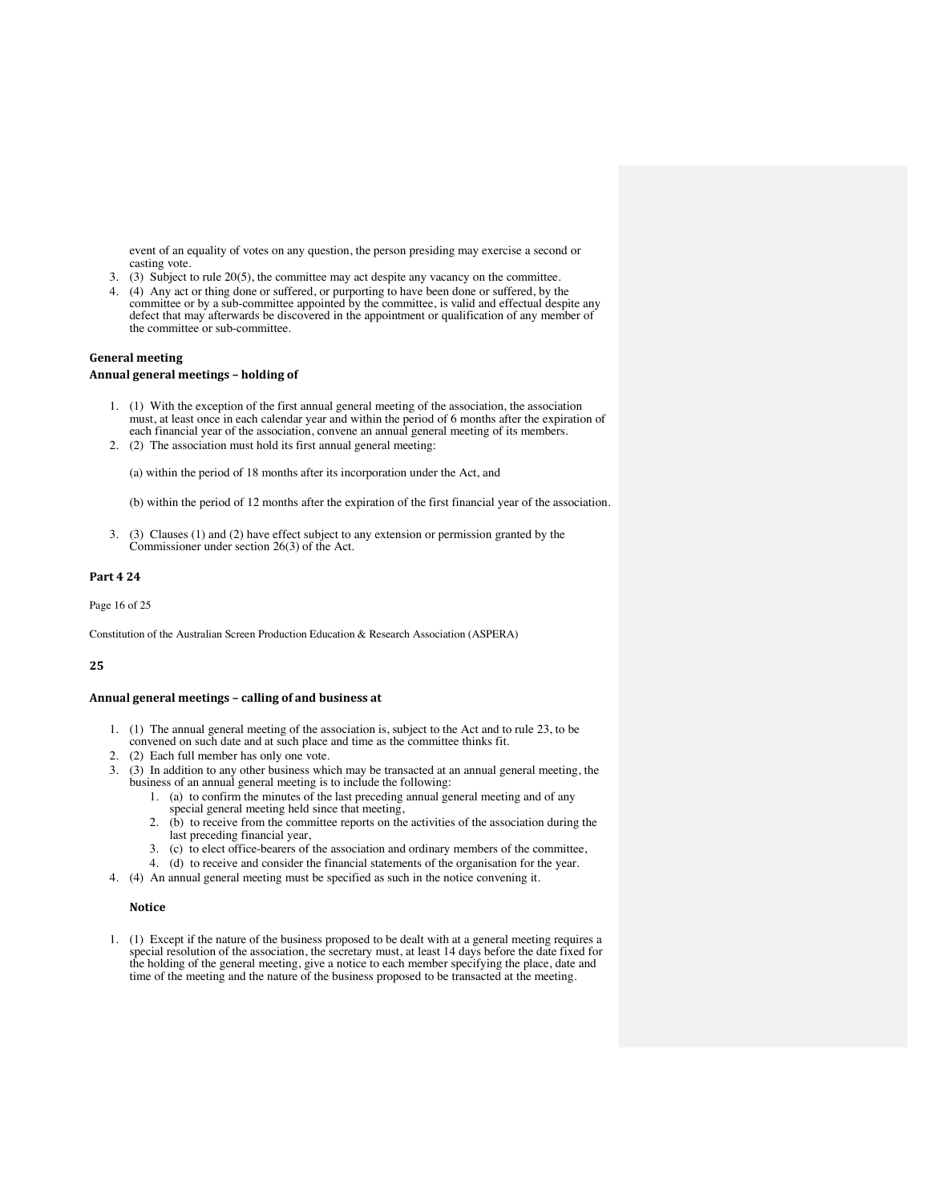event of an equality of votes on any question, the person presiding may exercise a second or casting vote.

- 3. (3) Subject to rule 20(5), the committee may act despite any vacancy on the committee.
- 4. (4) Any act or thing done or suffered, or purporting to have been done or suffered, by the committee or by a sub-committee appointed by the committee, is valid and effectual despite any defect that may afterwards be discovered in the appointment or qualification of any member of the committee or sub-committee.

### **General meeting**

### Annual general meetings - holding of

- 1. (1) With the exception of the first annual general meeting of the association, the association must, at least once in each calendar year and within the period of 6 months after the expiration of each financial year of the association, convene an annual general meeting of its members.
- 2. (2) The association must hold its first annual general meeting:

(a) within the period of 18 months after its incorporation under the Act, and

(b) within the period of 12 months after the expiration of the first financial year of the association.

3. (3) Clauses (1) and (2) have effect subject to any extension or permission granted by the Commissioner under section 26(3) of the Act.

### **Part 4 24**

Page 16 of 25

Constitution of the Australian Screen Production Education & Research Association (ASPERA)

### **25**

### Annual general meetings - calling of and business at

- 1. (1) The annual general meeting of the association is, subject to the Act and to rule 23, to be convened on such date and at such place and time as the committee thinks fit.
- 2. (2) Each full member has only one vote.<br>3. (3) In addition to any other business while
- 3. (3) In addition to any other business which may be transacted at an annual general meeting, the business of an annual general meeting is to include the following:
	- 1. (a) to confirm the minutes of the last preceding annual general meeting and of any special general meeting held since that meeting,
	- 2. (b) to receive from the committee reports on the activities of the association during the last preceding financial year,
	- 3. (c) to elect office-bearers of the association and ordinary members of the committee,
	- 4. (d) to receive and consider the financial statements of the organisation for the year.
- 4. (4) An annual general meeting must be specified as such in the notice convening it.

### **Notice**

1. (1) Except if the nature of the business proposed to be dealt with at a general meeting requires a special resolution of the association, the secretary must, at least 14 days before the date fixed for the holding of the general meeting, give a notice to each member specifying the place, date and time of the meeting and the nature of the business proposed to be transacted at the meeting.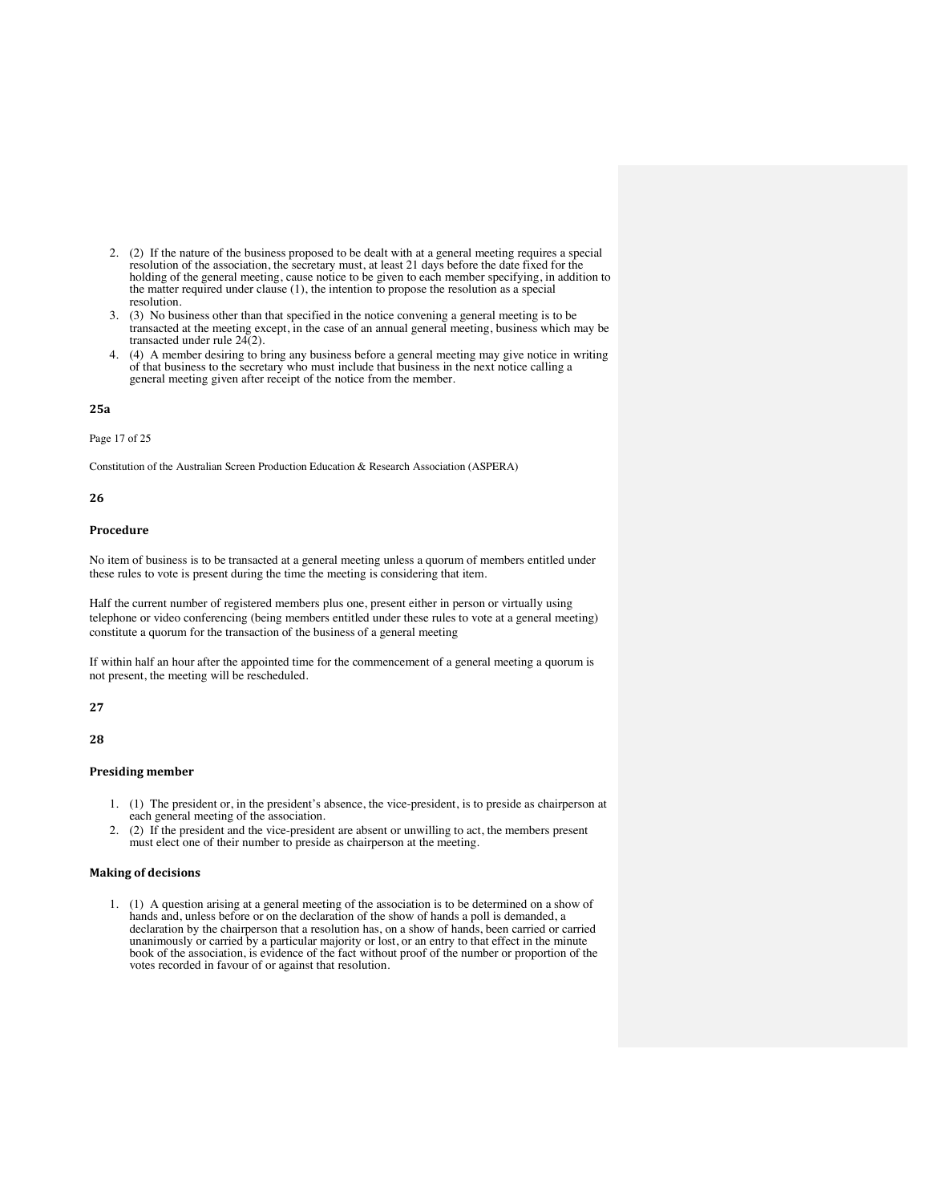- 2. (2) If the nature of the business proposed to be dealt with at a general meeting requires a special resolution of the association, the secretary must, at least 21 days before the date fixed for the holding of the general meeting, cause notice to be given to each member specifying, in addition to the matter required under clause (1), the intention to propose the resolution as a special resolution.
- 3. (3) No business other than that specified in the notice convening a general meeting is to be transacted at the meeting except, in the case of an annual general meeting, business which may be transacted under rule  $24(2)$ .
- 4. (4) A member desiring to bring any business before a general meeting may give notice in writing of that business to the secretary who must include that business in the next notice calling a general meeting given after receipt of the notice from the member.

### **25a**

Page 17 of 25

Constitution of the Australian Screen Production Education & Research Association (ASPERA)

### **26**

### **Procedure**

No item of business is to be transacted at a general meeting unless a quorum of members entitled under these rules to vote is present during the time the meeting is considering that item.

Half the current number of registered members plus one, present either in person or virtually using telephone or video conferencing (being members entitled under these rules to vote at a general meeting) constitute a quorum for the transaction of the business of a general meeting

If within half an hour after the appointed time for the commencement of a general meeting a quorum is not present, the meeting will be rescheduled.

### **27**

**28** 

## **Presiding member**

- 1. (1) The president or, in the president's absence, the vice-president, is to preside as chairperson at each general meeting of the association.
- 2. (2) If the president and the vice-president are absent or unwilling to act, the members present must elect one of their number to preside as chairperson at the meeting.

## **Making of decisions**

1. (1) A question arising at a general meeting of the association is to be determined on a show of hands and, unless before or on the declaration of the show of hands a poll is demanded, a declaration by the chairperson that a resolution has, on a show of hands, been carried or carried unanimously or carried by a particular majority or lost, or an entry to that effect in the minute book of the association, is evidence of the fact without proof of the number or proportion of the votes recorded in favour of or against that resolution.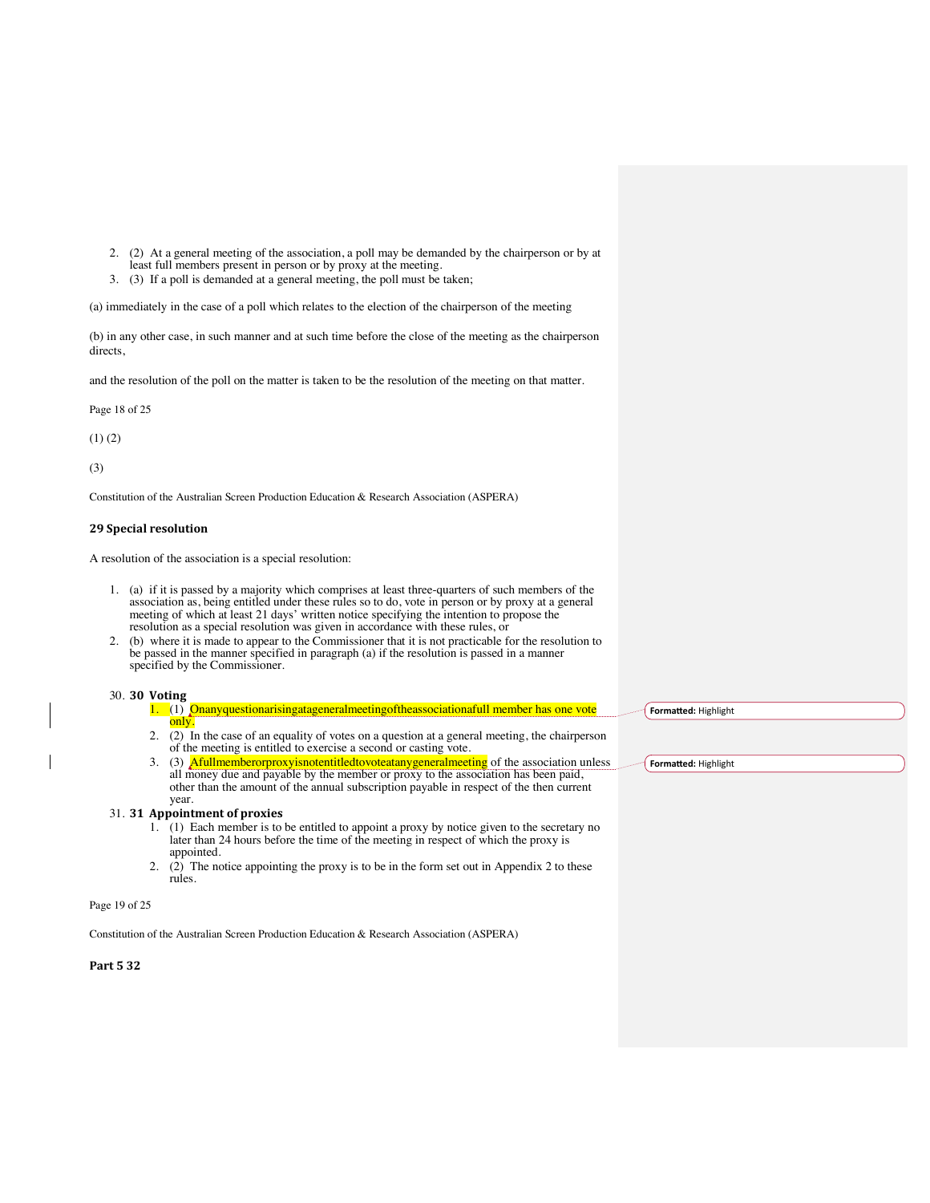- 2. (2) At a general meeting of the association, a poll may be demanded by the chairperson or by at least full members present in person or by proxy at the meeting.
	- 3. (3) If a poll is demanded at a general meeting, the poll must be taken;

(a) immediately in the case of a poll which relates to the election of the chairperson of the meeting

(b) in any other case, in such manner and at such time before the close of the meeting as the chairperson directs.

and the resolution of the poll on the matter is taken to be the resolution of the meeting on that matter.

Page 18 of 25

(1) (2)

(3)

Constitution of the Australian Screen Production Education & Research Association (ASPERA)

### **29 Special resolution**

A resolution of the association is a special resolution:

- 1. (a) if it is passed by a majority which comprises at least three-quarters of such members of the association as, being entitled under these rules so to do, vote in person or by proxy at a general meeting of which at least 21 days' written notice specifying the intention to propose the resolution as a special resolution was given in accordance with these rules, or
- 2. (b) where it is made to appear to the Commissioner that it is not practicable for the resolution to be passed in the manner specified in paragraph (a) if the resolution is passed in a manner specified by the Commissioner.

### 30. **30 Voting**

|  |      | ralmeetingoftheassociationafull 1<br>one<br>, member<br>mgaragener:<br>zole. |  | Highlight<br>Formatted |
|--|------|------------------------------------------------------------------------------|--|------------------------|
|  | only |                                                                              |  |                        |

- 2. (2) In the case of an equality of votes on a question at a general meeting, the chairperson of the meeting is entitled to exercise a second or casting vote.
- 3. (3) **Afullmemberorproxyisnotentitledtovoteatanygeneralmeeting** of the association unless all money due and payable by the member or proxy to the association has been paid, other than the amount of the annual subscription payable in respect of the then current year.

### 31. **31 Appointment of proxies**

- 1. (1) Each member is to be entitled to appoint a proxy by notice given to the secretary no later than 24 hours before the time of the meeting in respect of which the proxy is appointed.
- 2. (2) The notice appointing the proxy is to be in the form set out in Appendix 2 to these rules.

Page 19 of 25

Constitution of the Australian Screen Production Education & Research Association (ASPERA)

**Part 5 32** 

**Formatted:** Highlight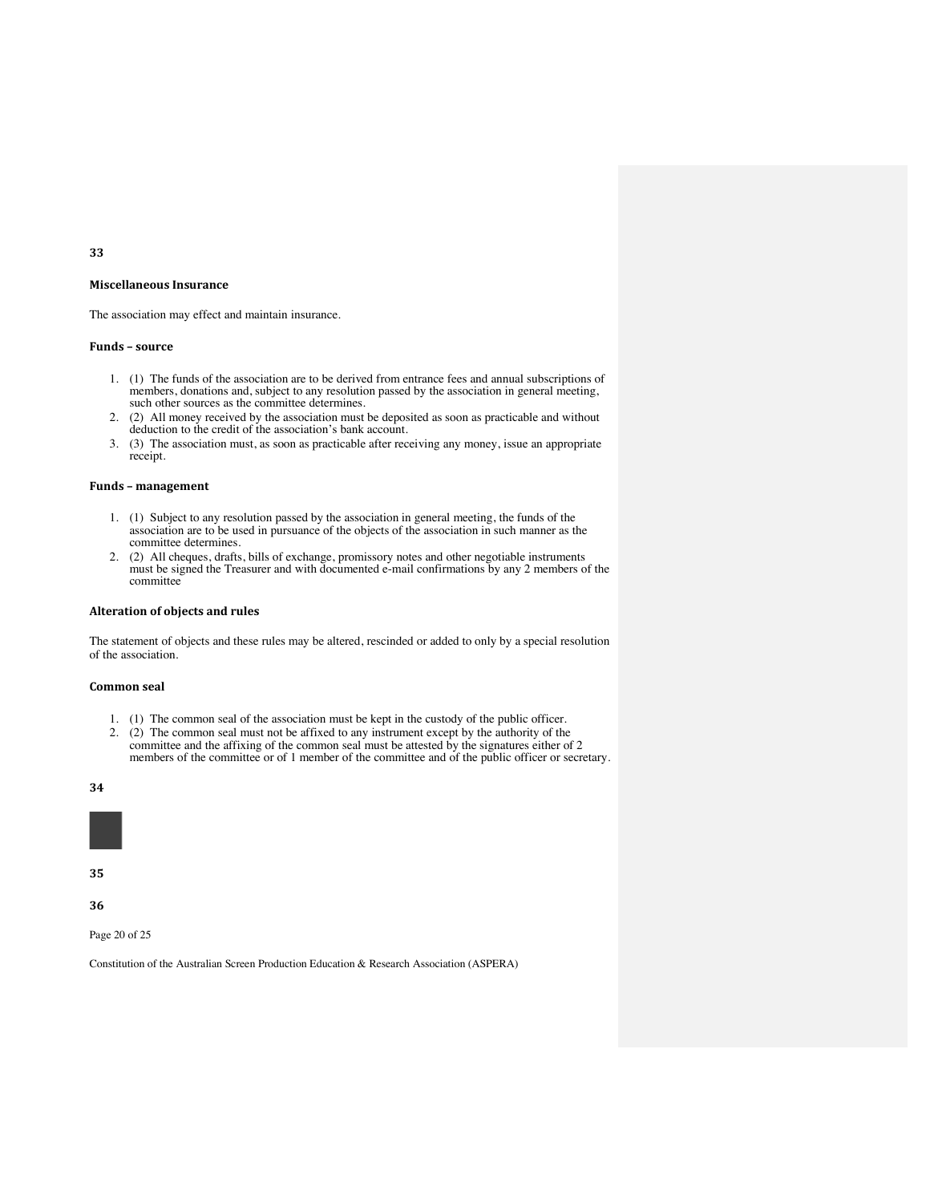# **33**

## **Miscellaneous Insurance**

The association may effect and maintain insurance.

### **Funds – source**

- 1. (1) The funds of the association are to be derived from entrance fees and annual subscriptions of members, donations and, subject to any resolution passed by the association in general meeting, such other sources as the committee determines.
- 2. (2) All money received by the association must be deposited as soon as practicable and without deduction to the credit of the association's bank account.
- 3. (3) The association must, as soon as practicable after receiving any money, issue an appropriate receipt.

### **Funds – management**

- 1. (1) Subject to any resolution passed by the association in general meeting, the funds of the association are to be used in pursuance of the objects of the association in such manner as the committee determines.
- 2. (2) All cheques, drafts, bills of exchange, promissory notes and other negotiable instruments must be signed the Treasurer and with documented e-mail confirmations by any 2 members of the committee

### **Alteration of objects and rules**

The statement of objects and these rules may be altered, rescinded or added to only by a special resolution of the association.

### **Common** seal

- 1. (1) The common seal of the association must be kept in the custody of the public officer.
- 2. (2) The common seal must not be affixed to any instrument except by the authority of the committee and the affixing of the common seal must be attested by the signatures either of 2 members of the committee or of 1 member of the committee and of the public officer or secretary.

**34** 



Page 20 of 25

Constitution of the Australian Screen Production Education & Research Association (ASPERA)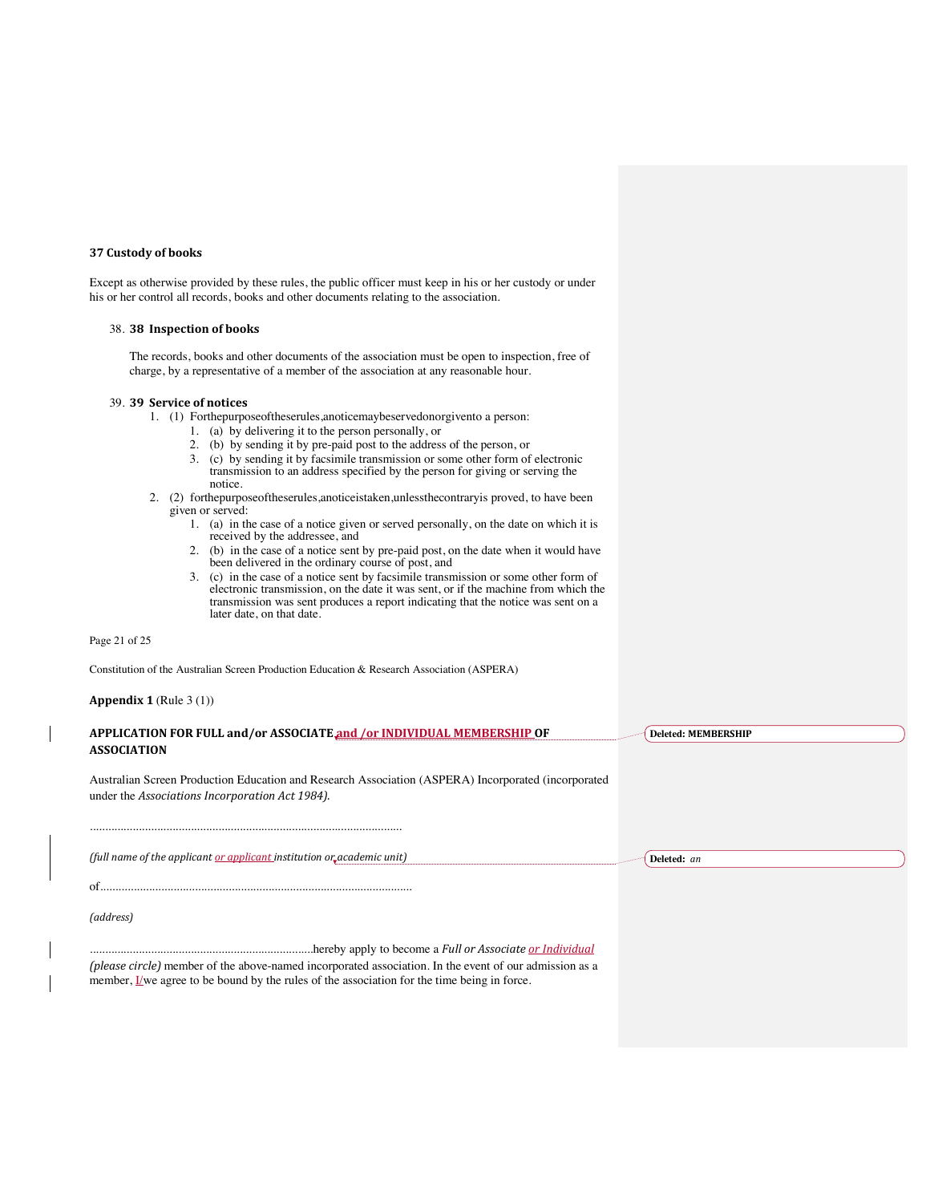### **37 Custody of books**

Except as otherwise provided by these rules, the public officer must keep in his or her custody or under his or her control all records, books and other documents relating to the association.

### 38. **38 Inspection of books**

The records, books and other documents of the association must be open to inspection, free of charge, by a representative of a member of the association at any reasonable hour.

### 39. **39 Service of notices**

- 1. (1) Forthepurposeoftheserules,anoticemaybeservedonorgivento a person:
	- 1. (a) by delivering it to the person personally, or
	- 2. (b) by sending it by pre-paid post to the address of the person, or
	- 3. (c) by sending it by facsimile transmission or some other form of electronic transmission to an address specified by the person for giving or serving the notice.
- 2. (2) forthepurposeoftheserules,anoticeistaken,unlessthecontraryis proved, to have been given or served:
	- 1. (a) in the case of a notice given or served personally, on the date on which it is received by the addressee, and
	- 2. (b) in the case of a notice sent by pre-paid post, on the date when it would have been delivered in the ordinary course of post, and
	- 3. (c) in the case of a notice sent by facsimile transmission or some other form of electronic transmission, on the date it was sent, or if the machine from which the transmission was sent produces a report indicating that the notice was sent on a later date, on that date.

Page 21 of 25

Constitution of the Australian Screen Production Education & Research Association (ASPERA)

### **Appendix 1** (Rule 3 (1))

| APPLICATION FOR FULL and/or ASSOCIATE and /or INDIVIDUAL MEMBERSHIP OF<br><b>ASSOCIATION</b>                                                                                                          | <b>Deleted: MEMBERSHIP</b> |
|-------------------------------------------------------------------------------------------------------------------------------------------------------------------------------------------------------|----------------------------|
| Australian Screen Production Education and Research Association (ASPERA) Incorporated (incorporated<br>under the Associations Incorporation Act 1984).                                                |                            |
|                                                                                                                                                                                                       |                            |
| (full name of the applicant or applicant institution or academic unit)                                                                                                                                | Deleted: an                |
|                                                                                                                                                                                                       |                            |
| (address)                                                                                                                                                                                             |                            |
| (please circle) member of the above-named incorporated association. In the event of our admission as a<br>member, I/we agree to be bound by the rules of the association for the time being in force. |                            |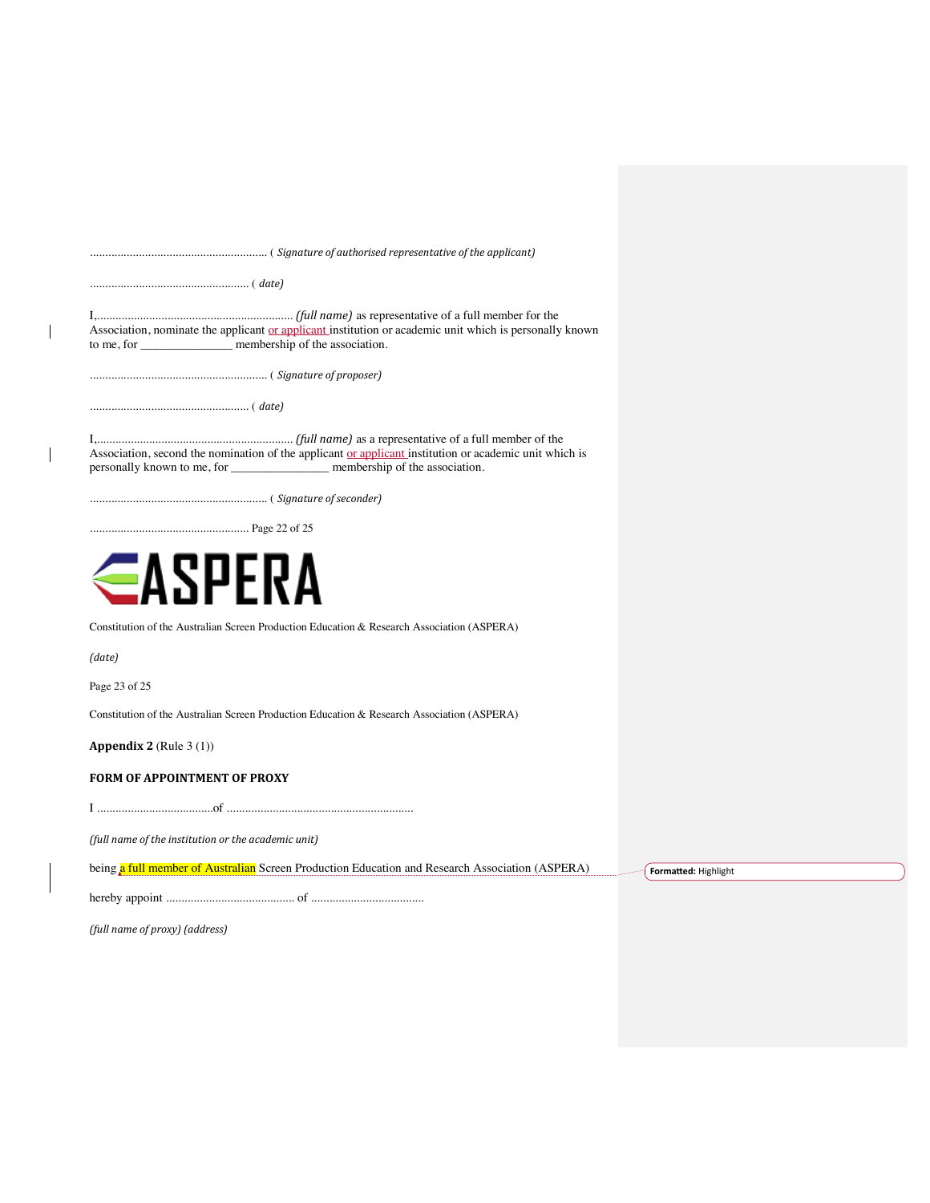| Association, nominate the applicant or applicant institution or academic unit which is personally known<br>to me, for ___________________ membership of the association. |                      |
|--------------------------------------------------------------------------------------------------------------------------------------------------------------------------|----------------------|
|                                                                                                                                                                          |                      |
|                                                                                                                                                                          |                      |
| Association, second the nomination of the applicant or applicant institution or academic unit which is<br>personally known to me, for membership of the association.     |                      |
|                                                                                                                                                                          |                      |
|                                                                                                                                                                          |                      |
| ∈ASPERA                                                                                                                                                                  |                      |
| Constitution of the Australian Screen Production Education & Research Association (ASPERA)                                                                               |                      |
| (date)                                                                                                                                                                   |                      |
| Page 23 of 25                                                                                                                                                            |                      |
| Constitution of the Australian Screen Production Education & Research Association (ASPERA)                                                                               |                      |
| <b>Appendix 2</b> (Rule $3(1)$ )                                                                                                                                         |                      |
| <b>FORM OF APPOINTMENT OF PROXY</b>                                                                                                                                      |                      |
|                                                                                                                                                                          |                      |
| (full name of the institution or the academic unit)                                                                                                                      |                      |
| being a full member of Australian Screen Production Education and Research Association (ASPERA)                                                                          | Formatted: Highlight |
|                                                                                                                                                                          |                      |
| (full name of proxy) (address)                                                                                                                                           |                      |
|                                                                                                                                                                          |                      |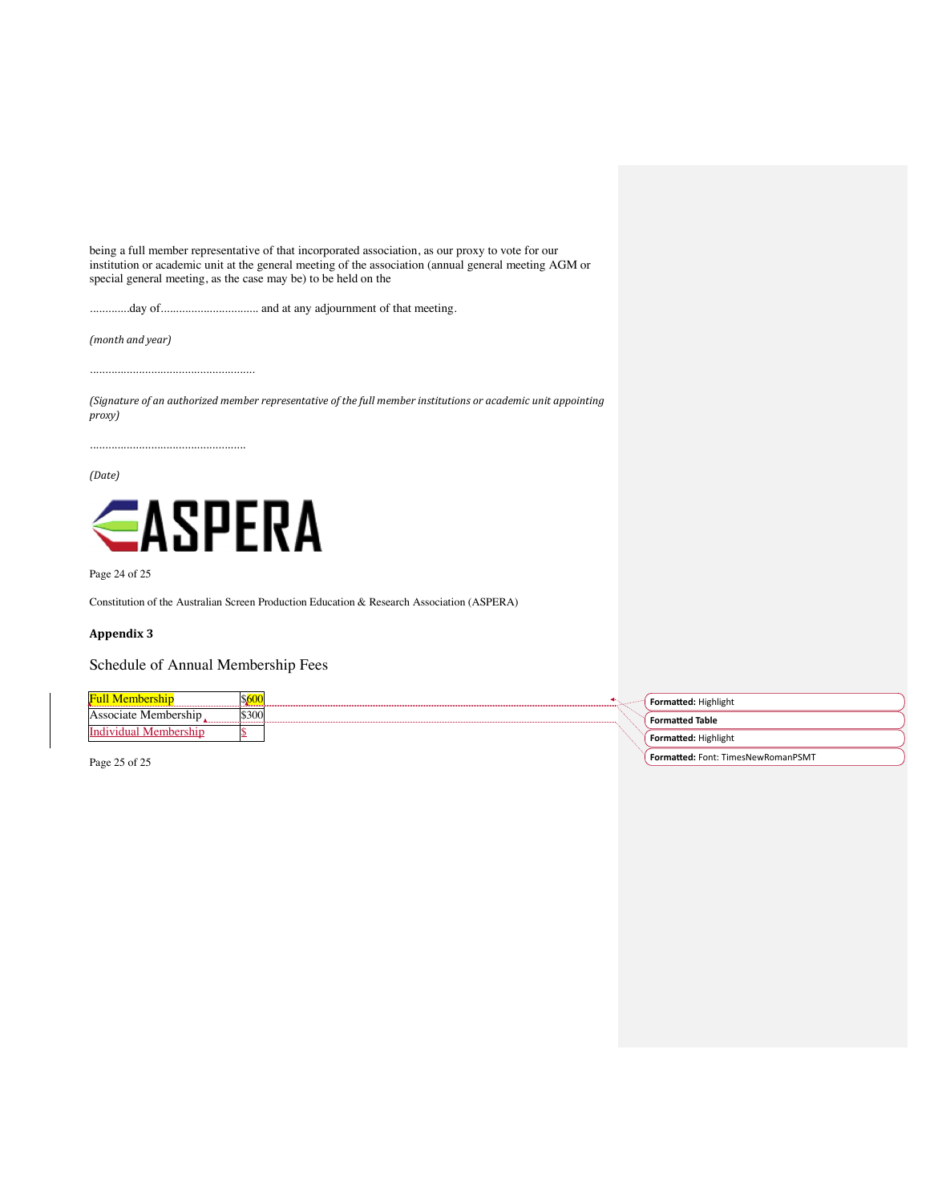being a full member representative of that incorporated association, as our proxy to vote for our institution or academic unit at the general meeting of the association (annual general meeting AGM or special general meeting, as the case may be) to be held on the

.............day of................................ and at any adjournment of that meeting.

*(month and year)* 

......................................................

...................................................

*(Signature of an authorized member representative of the full member institutions or academic unit appointing proxy)* 

*(Date)* 



Page 24 of 25

Constitution of the Australian Screen Production Education & Research Association (ASPERA)

## **Appendix 3**

Schedule of Annual Membership Fees

|                              |  | <b>Formatted:</b> Highlight |
|------------------------------|--|-----------------------------|
| 6300<br>Vlembershin<br>∩∩ate |  | <b>Formatted Table</b>      |
| T.                           |  | <b>Formatted:</b> Highlight |

Page 25 of 25

Formatted: Font: TimesNewRomanPSMT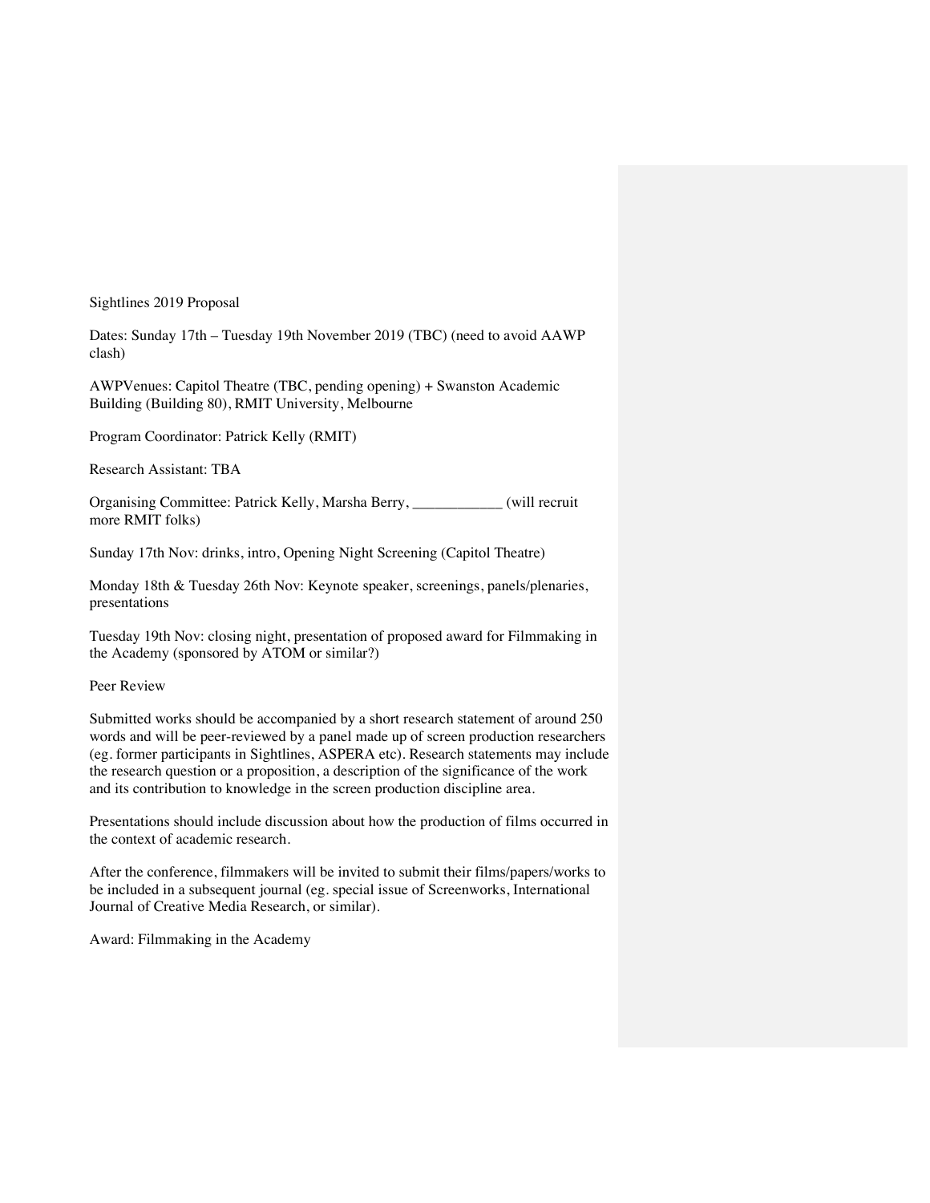Sightlines 2019 Proposal

Dates: Sunday 17th – Tuesday 19th November 2019 (TBC) (need to avoid AAWP clash)

AWPVenues: Capitol Theatre (TBC, pending opening) + Swanston Academic Building (Building 80), RMIT University, Melbourne

Program Coordinator: Patrick Kelly (RMIT)

Research Assistant: TBA

Organising Committee: Patrick Kelly, Marsha Berry, \_\_\_\_\_\_\_\_\_\_\_\_ (will recruit more RMIT folks)

Sunday 17th Nov: drinks, intro, Opening Night Screening (Capitol Theatre)

Monday 18th & Tuesday 26th Nov: Keynote speaker, screenings, panels/plenaries, presentations

Tuesday 19th Nov: closing night, presentation of proposed award for Filmmaking in the Academy (sponsored by ATOM or similar?)

## Peer Review

Submitted works should be accompanied by a short research statement of around 250 words and will be peer-reviewed by a panel made up of screen production researchers (eg. former participants in Sightlines, ASPERA etc). Research statements may include the research question or a proposition, a description of the significance of the work and its contribution to knowledge in the screen production discipline area.

Presentations should include discussion about how the production of films occurred in the context of academic research.

After the conference, filmmakers will be invited to submit their films/papers/works to be included in a subsequent journal (eg. special issue of Screenworks, International Journal of Creative Media Research, or similar).

Award: Filmmaking in the Academy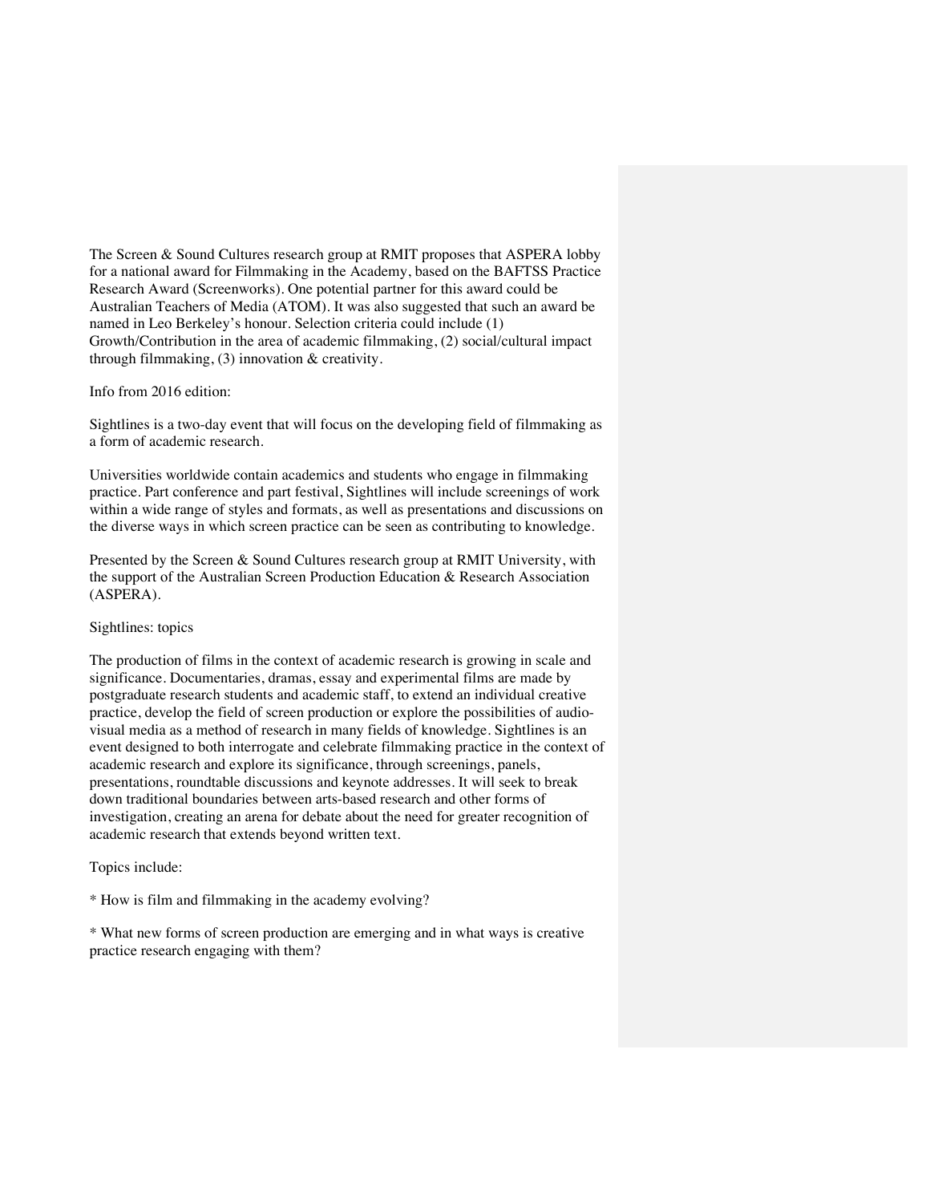The Screen & Sound Cultures research group at RMIT proposes that ASPERA lobby for a national award for Filmmaking in the Academy, based on the BAFTSS Practice Research Award (Screenworks). One potential partner for this award could be Australian Teachers of Media (ATOM). It was also suggested that such an award be named in Leo Berkeley's honour. Selection criteria could include (1) Growth/Contribution in the area of academic filmmaking, (2) social/cultural impact through filmmaking, (3) innovation & creativity.

Info from 2016 edition:

Sightlines is a two-day event that will focus on the developing field of filmmaking as a form of academic research.

Universities worldwide contain academics and students who engage in filmmaking practice. Part conference and part festival, Sightlines will include screenings of work within a wide range of styles and formats, as well as presentations and discussions on the diverse ways in which screen practice can be seen as contributing to knowledge.

Presented by the Screen & Sound Cultures research group at RMIT University, with the support of the Australian Screen Production Education & Research Association (ASPERA).

## Sightlines: topics

The production of films in the context of academic research is growing in scale and significance. Documentaries, dramas, essay and experimental films are made by postgraduate research students and academic staff, to extend an individual creative practice, develop the field of screen production or explore the possibilities of audiovisual media as a method of research in many fields of knowledge. Sightlines is an event designed to both interrogate and celebrate filmmaking practice in the context of academic research and explore its significance, through screenings, panels, presentations, roundtable discussions and keynote addresses. It will seek to break down traditional boundaries between arts-based research and other forms of investigation, creating an arena for debate about the need for greater recognition of academic research that extends beyond written text.

## Topics include:

\* How is film and filmmaking in the academy evolving?

\* What new forms of screen production are emerging and in what ways is creative practice research engaging with them?